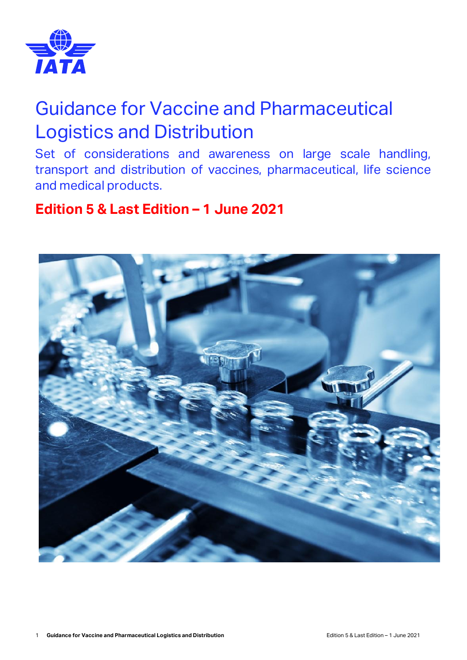

# Guidance for Vaccine and Pharmaceutical Logistics and Distribution

Set of considerations and awareness on large scale handling, transport and distribution of vaccines, pharmaceutical, life science and medical products.

## **Edition 5 & Last Edition – 1 June 2021**

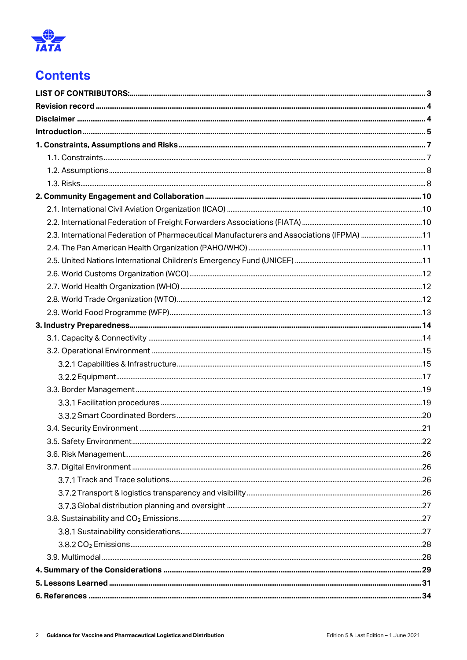

## **Contents**

| 2.3. International Federation of Pharmaceutical Manufacturers and Associations (IFPMA) 11 |  |
|-------------------------------------------------------------------------------------------|--|
|                                                                                           |  |
|                                                                                           |  |
|                                                                                           |  |
|                                                                                           |  |
|                                                                                           |  |
|                                                                                           |  |
|                                                                                           |  |
|                                                                                           |  |
|                                                                                           |  |
|                                                                                           |  |
|                                                                                           |  |
|                                                                                           |  |
|                                                                                           |  |
|                                                                                           |  |
|                                                                                           |  |
|                                                                                           |  |
|                                                                                           |  |
|                                                                                           |  |
|                                                                                           |  |
|                                                                                           |  |
|                                                                                           |  |
|                                                                                           |  |
|                                                                                           |  |
|                                                                                           |  |
|                                                                                           |  |
|                                                                                           |  |
|                                                                                           |  |
|                                                                                           |  |
|                                                                                           |  |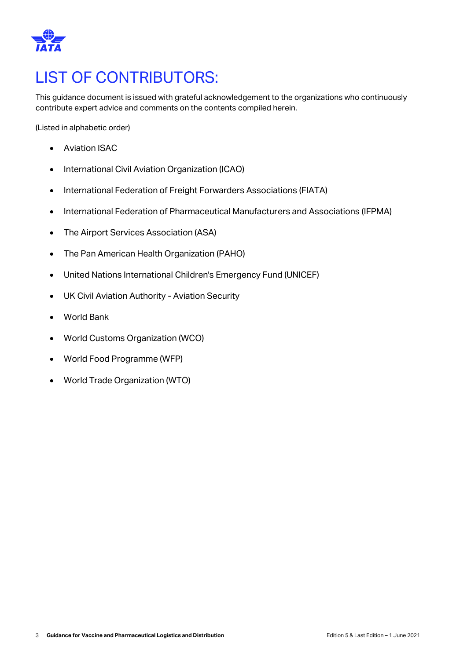

# <span id="page-2-0"></span>LIST OF CONTRIBUTORS:

This guidance document is issued with grateful acknowledgement to the organizations who continuously contribute expert advice and comments on the contents compiled herein.

(Listed in alphabetic order)

- Aviation ISAC
- International Civil Aviation Organization (ICAO)
- International Federation of Freight Forwarders Associations (FIATA)
- International Federation of Pharmaceutical Manufacturers and Associations (IFPMA)
- The Airport Services Association (ASA)
- The Pan American Health Organization (PAHO)
- United Nations International Children's Emergency Fund (UNICEF)
- UK Civil Aviation Authority Aviation Security
- World Bank
- World Customs Organization (WCO)
- World Food Programme (WFP)
- World Trade Organization (WTO)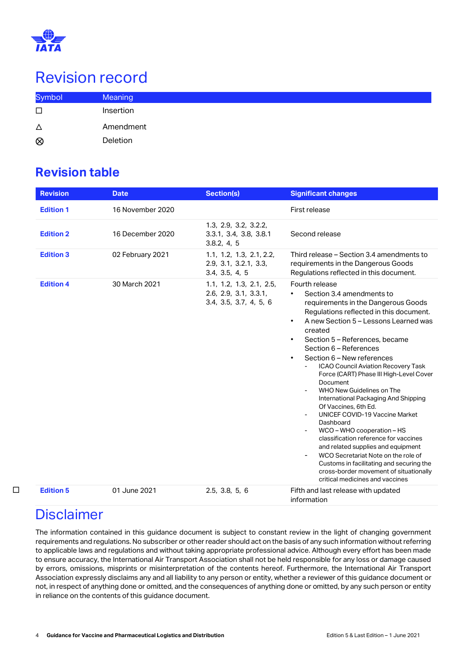

# <span id="page-3-0"></span>Revision record

| <b>Symbol</b> | Meaning   |
|---------------|-----------|
| $\Box$        | Insertion |
| $\Delta$      | Amendment |
| $\otimes$     | Deletion  |

### **Revision table**

| <b>Revision</b>  | <b>Date</b>      | <b>Section(s)</b>                                                           | <b>Significant changes</b>                                                                                                                                                                                                                                                                                                                                                                                                                                                                                                                                                                                                                                                                                                                                                                                                                                           |
|------------------|------------------|-----------------------------------------------------------------------------|----------------------------------------------------------------------------------------------------------------------------------------------------------------------------------------------------------------------------------------------------------------------------------------------------------------------------------------------------------------------------------------------------------------------------------------------------------------------------------------------------------------------------------------------------------------------------------------------------------------------------------------------------------------------------------------------------------------------------------------------------------------------------------------------------------------------------------------------------------------------|
| <b>Edition 1</b> | 16 November 2020 |                                                                             | First release                                                                                                                                                                                                                                                                                                                                                                                                                                                                                                                                                                                                                                                                                                                                                                                                                                                        |
| <b>Edition 2</b> | 16 December 2020 | 1.3, 2.9, 3.2, 3.2.2,<br>3.3.1, 3.4, 3.8, 3.8.1<br>3.8.2, 4, 5              | Second release                                                                                                                                                                                                                                                                                                                                                                                                                                                                                                                                                                                                                                                                                                                                                                                                                                                       |
| <b>Edition 3</b> | 02 February 2021 | 1.1, 1.2, 1.3, 2.1, 2.2,<br>2.9, 3.1, 3.2.1, 3.3,<br>3.4, 3.5, 4, 5         | Third release – Section 3.4 amendments to<br>requirements in the Dangerous Goods<br>Regulations reflected in this document.                                                                                                                                                                                                                                                                                                                                                                                                                                                                                                                                                                                                                                                                                                                                          |
| <b>Edition 4</b> | 30 March 2021    | 1.1, 1.2, 1.3, 2.1, 2.5,<br>2.6, 2.9, 3.1, 3.3.1,<br>3.4, 3.5, 3.7, 4, 5, 6 | Fourth release<br>Section 3.4 amendments to<br>$\bullet$<br>requirements in the Dangerous Goods<br>Regulations reflected in this document.<br>A new Section 5 - Lessons Learned was<br>$\bullet$<br>created<br>Section 5 - References, became<br>$\bullet$<br>Section 6 - References<br>Section 6 - New references<br>$\bullet$<br><b>ICAO Council Aviation Recovery Task</b><br>Force (CART) Phase III High-Level Cover<br>Document<br>WHO New Guidelines on The<br>International Packaging And Shipping<br>Of Vaccines, 6th Ed.<br><b>UNICEF COVID-19 Vaccine Market</b><br>Dashboard<br>WCO - WHO cooperation - HS<br>classification reference for vaccines<br>and related supplies and equipment<br>WCO Secretariat Note on the role of<br>Customs in facilitating and securing the<br>cross-border movement of situationally<br>critical medicines and vaccines |
| <b>Edition 5</b> | 01 June 2021     | 2.5, 3.8, 5, 6                                                              | Fifth and last release with updated<br>information                                                                                                                                                                                                                                                                                                                                                                                                                                                                                                                                                                                                                                                                                                                                                                                                                   |

## <span id="page-3-1"></span>**Disclaimer**

□

The information contained in this guidance document is subject to constant review in the light of changing government requirements and regulations. No subscriber or other reader should act on the basis of any such information without referring to applicable laws and regulations and without taking appropriate professional advice. Although every effort has been made to ensure accuracy, the International Air Transport Association shall not be held responsible for any loss or damage caused by errors, omissions, misprints or misinterpretation of the contents hereof. Furthermore, the International Air Transport Association expressly disclaims any and all liability to any person or entity, whether a reviewer of this guidance document or not, in respect of anything done or omitted, and the consequences of anything done or omitted, by any such person or entity in reliance on the contents of this guidance document.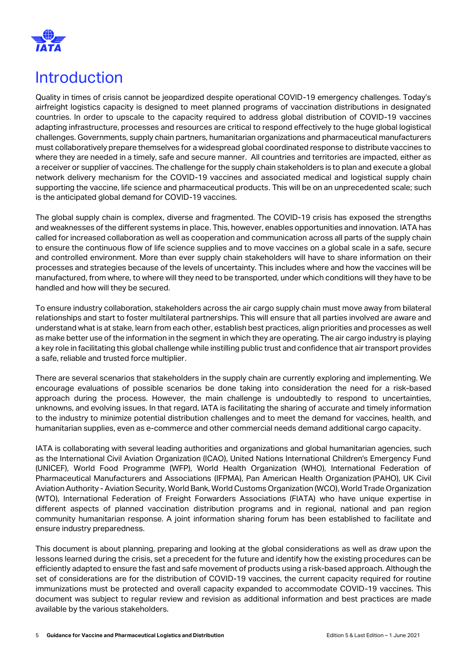

## <span id="page-4-0"></span>Introduction

Quality in times of crisis cannot be jeopardized despite operational COVID-19 emergency challenges. Today's airfreight logistics capacity is designed to meet planned programs of vaccination distributions in designated countries. In order to upscale to the capacity required to address global distribution of COVID-19 vaccines adapting infrastructure, processes and resources are critical to respond effectively to the huge global logistical challenges. Governments, supply chain partners, humanitarian organizations and pharmaceutical manufacturers must collaboratively prepare themselves for a widespread global coordinated response to distribute vaccines to where they are needed in a timely, safe and secure manner. All countries and territories are impacted, either as a receiver or supplier of vaccines. The challenge for the supply chain stakeholders is to plan and execute a global network delivery mechanism for the COVID-19 vaccines and associated medical and logistical supply chain supporting the vaccine, life science and pharmaceutical products. This will be on an unprecedented scale; such is the anticipated global demand for COVID-19 vaccines.

The global supply chain is complex, diverse and fragmented. The COVID-19 crisis has exposed the strengths and weaknesses of the different systems in place. This, however, enables opportunities and innovation. IATA has called for increased collaboration as well as cooperation and communication across all parts of the supply chain to ensure the continuous flow of life science supplies and to move vaccines on a global scale in a safe, secure and controlled environment. More than ever supply chain stakeholders will have to share information on their processes and strategies because of the levels of uncertainty. This includes where and how the vaccines will be manufactured, from where, to where will they need to be transported, under which conditions will they have to be handled and how will they be secured.

To ensure industry collaboration, stakeholders across the air cargo supply chain must move away from bilateral relationships and start to foster multilateral partnerships. This will ensure that all parties involved are aware and understand what is at stake, learn from each other, establish best practices, align priorities and processes as well as make better use of the information in the segment in which they are operating. The air cargo industry is playing a key role in facilitating this global challenge while instilling public trust and confidence that air transport provides a safe, reliable and trusted force multiplier.

There are several scenarios that stakeholders in the supply chain are currently exploring and implementing. We encourage evaluations of possible scenarios be done taking into consideration the need for a risk-based approach during the process. However, the main challenge is undoubtedly to respond to uncertainties, unknowns, and evolving issues. In that regard, IATA is facilitating the sharing of accurate and timely information to the industry to minimize potential distribution challenges and to meet the demand for vaccines, health, and humanitarian supplies, even as e-commerce and other commercial needs demand additional cargo capacity.

IATA is collaborating with several leading authorities and organizations and global humanitarian agencies, such as the International Civil Aviation Organization (ICAO), United Nations International Children's Emergency Fund (UNICEF), World Food Programme (WFP), World Health Organization (WHO), International Federation of Pharmaceutical Manufacturers and Associations (IFPMA), Pan American Health Organization (PAHO), UK Civil Aviation Authority - Aviation Security, World Bank, World Customs Organization (WCO), World Trade Organization (WTO), International Federation of Freight Forwarders Associations (FIATA) who have unique expertise in different aspects of planned vaccination distribution programs and in regional, national and pan region community humanitarian response. A joint information sharing forum has been established to facilitate and ensure industry preparedness.

This document is about planning, preparing and looking at the global considerations as well as draw upon the lessons learned during the crisis, set a precedent for the future and identify how the existing procedures can be efficiently adapted to ensure the fast and safe movement of products using a risk-based approach. Although the set of considerations are for the distribution of COVID-19 vaccines, the current capacity required for routine immunizations must be protected and overall capacity expanded to accommodate COVID-19 vaccines. This document was subject to regular review and revision as additional information and best practices are made available by the various stakeholders.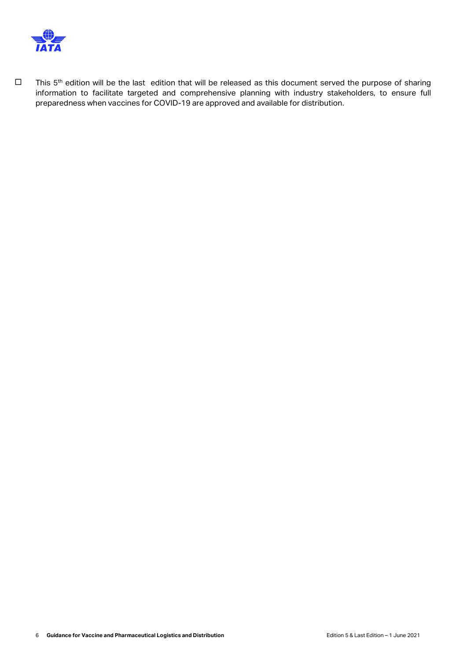

□ This 5<sup>th</sup> edition will be the last edition that will be released as this document served the purpose of sharing information to facilitate targeted and comprehensive planning with industry stakeholders, to ensure full preparedness when vaccines for COVID-19 are approved and available for distribution.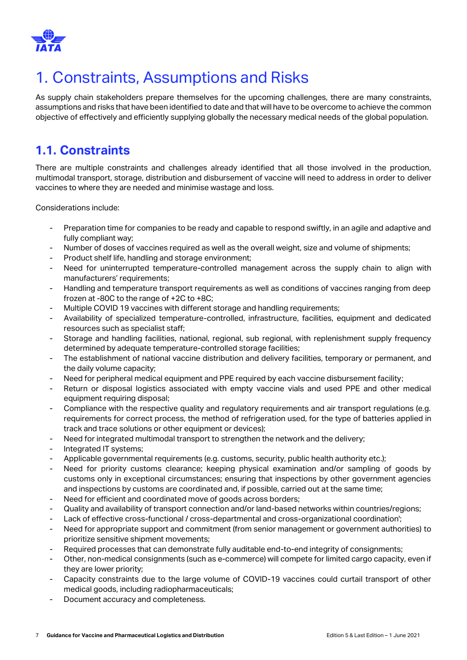

# <span id="page-6-0"></span>1. Constraints, Assumptions and Risks

As supply chain stakeholders prepare themselves for the upcoming challenges, there are many constraints, assumptions and risks that have been identified to date and that will have to be overcome to achieve the common objective of effectively and efficiently supplying globally the necessary medical needs of the global population.

## <span id="page-6-1"></span>**1.1. Constraints**

There are multiple constraints and challenges already identified that all those involved in the production, multimodal transport, storage, distribution and disbursement of vaccine will need to address in order to deliver vaccines to where they are needed and minimise wastage and loss.

Considerations include:

- Preparation time for companies to be ready and capable to respond swiftly, in an agile and adaptive and fully compliant way;
- Number of doses of vaccines required as well as the overall weight, size and volume of shipments;
- Product shelf life, handling and storage environment;
- Need for uninterrupted temperature-controlled management across the supply chain to align with manufacturers' requirements;
- Handling and temperature transport requirements as well as conditions of vaccines ranging from deep frozen at -80C to the range of +2C to +8C;
- Multiple COVID 19 vaccines with different storage and handling requirements;
- Availability of specialized temperature-controlled, infrastructure, facilities, equipment and dedicated resources such as specialist staff;
- Storage and handling facilities, national, regional, sub regional, with replenishment supply frequency determined by adequate temperature-controlled storage facilities;
- The establishment of national vaccine distribution and delivery facilities, temporary or permanent, and the daily volume capacity;
- Need for peripheral medical equipment and PPE required by each vaccine disbursement facility;
- Return or disposal logistics associated with empty vaccine vials and used PPE and other medical equipment requiring disposal;
- Compliance with the respective quality and regulatory requirements and air transport regulations (e.g. requirements for correct process, the method of refrigeration used, for the type of batteries applied in track and trace solutions or other equipment or devices);
- Need for integrated multimodal transport to strengthen the network and the delivery;
- Integrated IT systems;
- Applicable governmental requirements (e.g. customs, security, public health authority etc.);
- Need for priority customs clearance; keeping physical examination and/or sampling of goods by customs only in exceptional circumstances; ensuring that inspections by other government agencies and inspections by customs are coordinated and, if possible, carried out at the same time;
- Need for efficient and coordinated move of goods across borders;
- Quality and availability of transport connection and/or land-based networks within countries/regions;
- Lack of effective cross-functional / cross-departmental and cross-organizational coordination';
- Need for appropriate support and commitment (from senior management or government authorities) to prioritize sensitive shipment movements;
- Required processes that can demonstrate fully auditable end-to-end integrity of consignments;
- Other, non-medical consignments (such as e-commerce) will compete for limited cargo capacity, even if they are lower priority;
- Capacity constraints due to the large volume of COVID-19 vaccines could curtail transport of other medical goods, including radiopharmaceuticals;
- Document accuracy and completeness.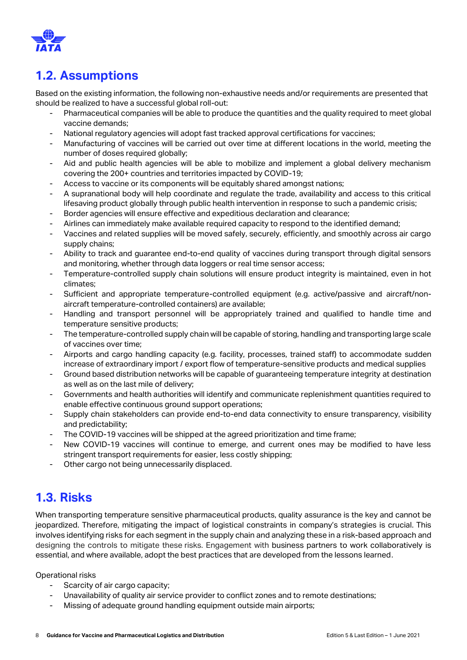

## <span id="page-7-0"></span>**1.2. Assumptions**

Based on the existing information, the following non-exhaustive needs and/or requirements are presented that should be realized to have a successful global roll-out:

- Pharmaceutical companies will be able to produce the quantities and the quality required to meet global vaccine demands;
- National regulatory agencies will adopt fast tracked approval certifications for vaccines;
- Manufacturing of vaccines will be carried out over time at different locations in the world, meeting the number of doses required globally;
- Aid and public health agencies will be able to mobilize and implement a global delivery mechanism covering the 200+ countries and territories impacted by COVID-19;
- Access to vaccine or its components will be equitably shared amongst nations;
- A supranational body will help coordinate and regulate the trade, availability and access to this critical lifesaving product globally through public health intervention in response to such a pandemic crisis;
- Border agencies will ensure effective and expeditious declaration and clearance;
- Airlines can immediately make available required capacity to respond to the identified demand;
- Vaccines and related supplies will be moved safely, securely, efficiently, and smoothly across air cargo supply chains;
- Ability to track and guarantee end-to-end quality of vaccines during transport through digital sensors and monitoring, whether through data loggers or real time sensor access;
- Temperature-controlled supply chain solutions will ensure product integrity is maintained, even in hot climates;
- Sufficient and appropriate temperature-controlled equipment (e.g. active/passive and aircraft/nonaircraft temperature-controlled containers) are available;
- Handling and transport personnel will be appropriately trained and qualified to handle time and temperature sensitive products;
- The temperature-controlled supply chain will be capable of storing, handling and transporting large scale of vaccines over time;
- Airports and cargo handling capacity (e.g. facility, processes, trained staff) to accommodate sudden increase of extraordinary import / export flow of temperature-sensitive products and medical supplies
- Ground based distribution networks will be capable of guaranteeing temperature integrity at destination as well as on the last mile of delivery;
- Governments and health authorities will identify and communicate replenishment quantities required to enable effective continuous ground support operations;
- Supply chain stakeholders can provide end-to-end data connectivity to ensure transparency, visibility and predictability;
- The COVID-19 vaccines will be shipped at the agreed prioritization and time frame;
- New COVID-19 vaccines will continue to emerge, and current ones may be modified to have less stringent transport requirements for easier, less costly shipping;
- Other cargo not being unnecessarily displaced.

### <span id="page-7-1"></span>**1.3. Risks**

When transporting temperature sensitive pharmaceutical products, quality assurance is the key and cannot be jeopardized. Therefore, mitigating the impact of logistical constraints in company's strategies is crucial. This involves identifying risks for each segment in the supply chain and analyzing these in a risk-based approach and designing the controls to mitigate these risks. Engagement with business partners to work collaboratively is essential, and where available, adopt the best practices that are developed from the lessons learned.

Operational risks

- Scarcity of air cargo capacity;
- Unavailability of quality air service provider to conflict zones and to remote destinations;
- Missing of adequate ground handling equipment outside main airports;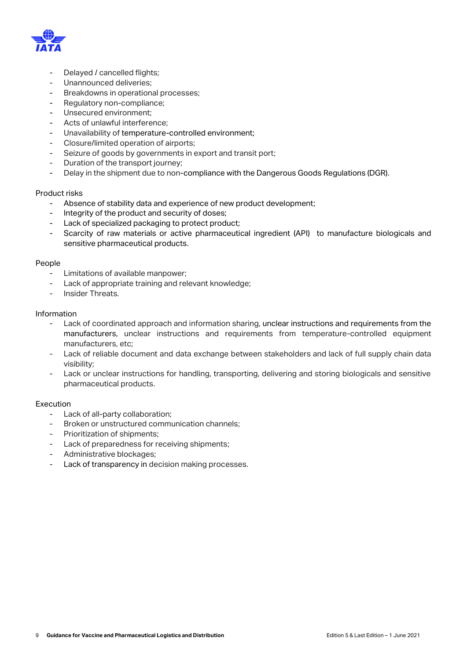

- Delayed / cancelled flights;
- Unannounced deliveries;
- Breakdowns in operational processes;
- Regulatory non-compliance;
- Unsecured environment;
- Acts of unlawful interference;
- Unavailability of temperature-controlled environment;
- Closure/limited operation of airports;
- Seizure of goods by governments in export and transit port;
- Duration of the transport journey;
- Delay in the shipment due to non-compliance with the Dangerous Goods Regulations (DGR).

#### Product risks

- Absence of stability data and experience of new product development;
- Integrity of the product and security of doses;
- Lack of specialized packaging to protect product;
- Scarcity of raw materials or active pharmaceutical ingredient (API) to manufacture biologicals and sensitive pharmaceutical products.

#### People

- Limitations of available manpower;
- Lack of appropriate training and relevant knowledge;
- Insider Threats

#### Information

- Lack of coordinated approach and information sharing, unclear instructions and requirements from the manufacturers, unclear instructions and requirements from temperature-controlled equipment manufacturers, etc;
- Lack of reliable document and data exchange between stakeholders and lack of full supply chain data visibility;
- Lack or unclear instructions for handling, transporting, delivering and storing biologicals and sensitive pharmaceutical products.

#### Execution

- Lack of all-party collaboration;
- Broken or unstructured communication channels;
- Prioritization of shipments;
- Lack of preparedness for receiving shipments;
- Administrative blockages;
- Lack of transparency in decision making processes.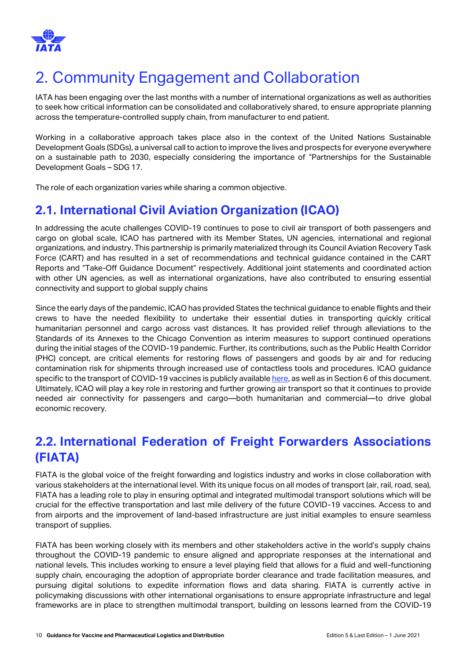

# <span id="page-9-0"></span>2. Community Engagement and Collaboration

IATA has been engaging over the last months with a number of international organizations as well as authorities to seek how critical information can be consolidated and collaboratively shared, to ensure appropriate planning across the temperature-controlled supply chain, from manufacturer to end patient.

Working in a collaborative approach takes place also in the context of the United Nations Sustainable Development Goals (SDGs), a universal call to action to improve the lives and prospects for everyone everywhere on a sustainable path to 2030, especially considering the importance of "Partnerships for the Sustainable Development Goals – [SDG 17.](https://www.un.org/sustainabledevelopment/globalpartnerships/)

The role of each organization varies while sharing a common objective.

### <span id="page-9-1"></span>**2.1. International Civil Aviation Organization (ICAO)**

In addressing the acute challenges COVID-19 continues to pose to civil air transport of both passengers and cargo on global scale, ICAO has partnered with its Member States, UN agencies, international and regional organizations, and industry. This partnership is primarily materialized through its Council Aviation Recovery Task Force (CART) and has resulted in a set of recommendations and technical guidance contained in the CART Reports and "Take-Off Guidance Document" respectively. Additional joint statements and coordinated action with other UN agencies, as well as international organizations, have also contributed to ensuring essential connectivity and support to global supply chains

Since the early days of the pandemic, ICAO has provided States the technical guidance to enable flights and their crews to have the needed flexibility to undertake their essential duties in transporting quickly critical humanitarian personnel and cargo across vast distances. It has provided relief through alleviations to the Standards of its Annexes to the Chicago Convention as interim measures to support continued operations during the initial stages of the COVID-19 pandemic. Further, its contributions, such as the Public Health Corridor (PHC) concept, are critical elements for restoring flows of passengers and goods by air and for reducing contamination risk for shipments through increased use of contactless tools and procedures. ICAO guidance specific to the transport of COVID-19 vaccines is publicly available [here,](https://www.icao.int/safety/OPS/OPS-Normal/Pages/Vaccines-Transport.aspx) as well as in Section 6 of this document. Ultimately, ICAO will play a key role in restoring and further growing air transport so that it continues to provide needed air connectivity for passengers and cargo—both humanitarian and commercial—to drive global economic recovery.

### <span id="page-9-2"></span>**2.2. International Federation of Freight Forwarders Associations (FIATA)**

FIATA is the global voice of the freight forwarding and logistics industry and works in close collaboration with various stakeholders at the international level. With its unique focus on all modes of transport (air, rail, road, sea), FIATA has a leading role to play in ensuring optimal and integrated multimodal transport solutions which will be crucial for the effective transportation and last mile delivery of the future COVID-19 vaccines. Access to and from airports and the improvement of land-based infrastructure are just initial examples to ensure seamless transport of supplies.

FIATA has been working closely with its members and other stakeholders active in the world's supply chains throughout the COVID-19 pandemic to ensure aligned and appropriate responses at the international and national levels. This includes working to ensure a level playing field that allows for a fluid and well-functioning supply chain, encouraging the adoption of appropriate border clearance and trade facilitation measures, and pursuing digital solutions to expedite information flows and data sharing. FIATA is currently active in policymaking discussions with other international organisations to ensure appropriate infrastructure and legal frameworks are in place to strengthen multimodal transport, building on lessons learned from the COVID-19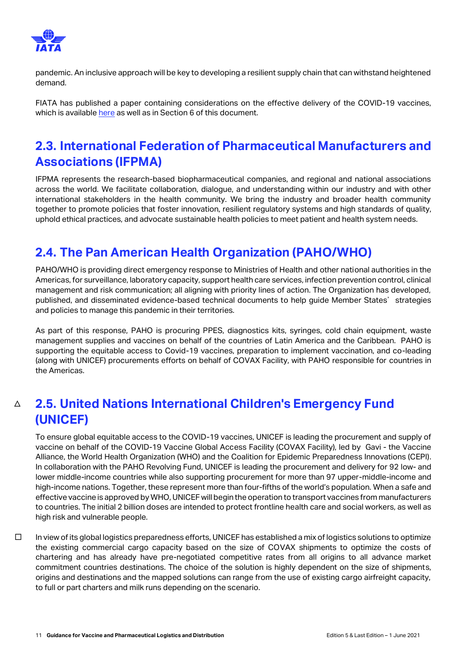

pandemic. An inclusive approach will be key to developing a resilient supply chain that can withstand heightened demand.

FIATA has published a paper containing considerations on the effective delivery of the COVID-19 vaccines, which is available [here](https://fiata.com/fileadmin/user_upload/2021_documents/Publications/FIATA_considerations_on_the_effective_delivery_of_the_COVID-19_vaccines.pdf) as well as in Section 6 of this document.

### <span id="page-10-0"></span>**2.3. International Federation of Pharmaceutical Manufacturers and Associations (IFPMA)**

IFPMA represents the research-based biopharmaceutical companies, and regional and national associations across the world. We facilitate collaboration, dialogue, and understanding within our industry and with other international stakeholders in the health community. We bring the industry and broader health community together to promote policies that foster innovation, resilient regulatory systems and high standards of quality, uphold ethical practices, and advocate sustainable health policies to meet patient and health system needs.

## <span id="page-10-1"></span>**2.4. The Pan American Health Organization (PAHO/WHO)**

PAHO/WHO is providing direct emergency response to Ministries of Health and other national authorities in the Americas, for surveillance, laboratory capacity, support health care services, infection prevention control, clinical management and risk communication; all aligning with priority lines of action. The Organization has developed, published, and disseminated evidence-based technical documents to help guide Member States' strategies and policies to manage this pandemic in their territories.

As part of this response, PAHO is procuring PPES, diagnostics kits, syringes, cold chain equipment, waste management supplies and vaccines on behalf of the countries of Latin America and the Caribbean. PAHO is supporting the equitable access to Covid-19 vaccines, preparation to implement vaccination, and co-leading (along with UNICEF) procurements efforts on behalf of COVAX Facility, with PAHO responsible for countries in the Americas.

#### <span id="page-10-2"></span> $\triangle$ **2.5. United Nations International Children's Emergency Fund (UNICEF)**

To ensure global equitable access to the COVID-19 vaccines, UNICEF is leading the procurement and supply of vaccine on behalf of the COVID-19 Vaccine Global Access Facility (COVAX Facility), led by Gavi - the Vaccine Alliance, the World Health Organization (WHO) and the Coalition for Epidemic Preparedness Innovations (CEPI). In collaboration with the [PAHO Revolving Fund,](https://www.paho.org/en/resources/paho-revolving-fund) UNICEF is leading the procurement and delivery for 92 low- and lower middle-income countries while also supporting procurement for more than 97 upper-middle-income and high-income nations. Together, these represent more than four-fifths of the world's population. When a safe and effective vaccine is approved by WHO, UNICEF will begin the operation to transport vaccines from manufacturers to countries. The initial 2 billion doses are intended to protect frontline health care and social workers, as well as high risk and vulnerable people.

□ In view of its global logistics preparedness efforts, UNICEF has established a mix of logistics solutions to optimize the existing commercial cargo capacity based on the size of COVAX shipments to optimize the costs of chartering and has already have pre-negotiated competitive rates from all origins to all advance market commitment countries destinations. The choice of the solution is highly dependent on the size of shipments, origins and destinations and the mapped solutions can range from the use of existing cargo airfreight capacity, to full or part charters and milk runs depending on the scenario.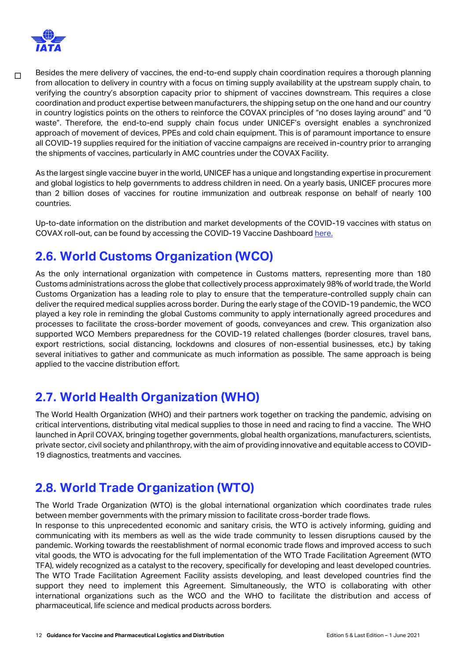

□ Besides the mere delivery of vaccines, the end-to-end supply chain coordination requires a thorough planning from allocation to delivery in country with a focus on timing supply availability at the upstream supply chain, to verifying the country's absorption capacity prior to shipment of vaccines downstream. This requires a close coordination and product expertise between manufacturers, the shipping setup on the one hand and our country in country logistics points on the others to reinforce the COVAX principles of "no doses laying around" and "0 waste". Therefore, the end-to-end supply chain focus under UNICEF's oversight enables a synchronized approach of movement of devices, PPEs and cold chain equipment. This is of paramount importance to ensure all COVID-19 supplies required for the initiation of vaccine campaigns are received in-country prior to arranging the shipments of vaccines, particularly in AMC countries under the COVAX Facility.

As the largest single vaccine buyer in the world, UNICEF has a unique and longstanding expertise in procurement and global logistics to help governments to address children in need. On a yearly basis, UNICEF procures more than 2 billion doses of vaccines for routine immunization and outbreak response on behalf of nearly 100 countries.

Up-to-date information on the distribution and market developments of the COVID-19 vaccines with status on COVAX roll-out, can be found by accessing the COVID-19 Vaccine Dashboard [here.](https://app.powerbi.com/view?r=eyJrIjoiNmE0YjZiNzUtZjk2OS00ZTg4LThlMzMtNTRhNzE0NzA4YmZlIiwidCI6Ijc3NDEwMTk1LTE0ZTEtNGZiOC05MDRiLWFiMTg5MjAyMzY2NyIsImMiOjh9&pageName=ReportSectiona329b3eafd86059a947b)

### <span id="page-11-0"></span>**2.6. World Customs Organization (WCO)**

As the only international organization with competence in Customs matters, representing more than 180 Customs administrations across the globe that collectively process approximately 98% of world trade, the World Customs Organization has a leading role to play to ensure that the temperature-controlled supply chain can deliver the required medical supplies across border. During the early stage of the COVID-19 pandemic, the WCO played a key role in reminding the global Customs community to apply internationally agreed procedures and processes to facilitate the cross-border movement of goods, conveyances and crew. This organization also supported WCO Members preparedness for the COVID-19 related challenges (border closures, travel bans, export restrictions, social distancing, lockdowns and closures of non-essential businesses, etc.) by taking several initiatives to gather and communicate as much information as possible. The same approach is being applied to the vaccine distribution effort.

### <span id="page-11-1"></span>**2.7. World Health Organization (WHO)**

The World Health Organization (WHO) and their partners work together on tracking the pandemic, advising on critical interventions, distributing vital medical supplies to those in need and racing to find a vaccine. The WHO launched in April COVAX, bringing together governments, global health organizations, manufacturers, scientists, private sector, civil society and philanthropy, with the aim of providing innovative and equitable access to COVID-19 diagnostics, treatments and vaccines.

### <span id="page-11-2"></span>**2.8. World Trade Organization (WTO)**

The World Trade Organization (WTO) is the global international organization which coordinates trade rules between member governments with the primary mission to facilitate cross-border trade flows.

In response to this unprecedented economic and sanitary crisis, the WTO is actively informing, guiding and communicating with its members as well as the wide trade community to lessen disruptions caused by the pandemic. Working towards the reestablishment of normal economic trade flows and improved access to such vital goods, the WTO is advocating for the full implementation of the WTO Trade Facilitation Agreement (WTO TFA), widely recognized as a catalyst to the recovery, specifically for developing and least developed countries. The WTO Trade Facilitation Agreement Facility assists developing, and least developed countries find the support they need to implement this Agreement. Simultaneously, the WTO is collaborating with other international organizations such as the WCO and the WHO to facilitate the distribution and access of pharmaceutical, life science and medical products across borders.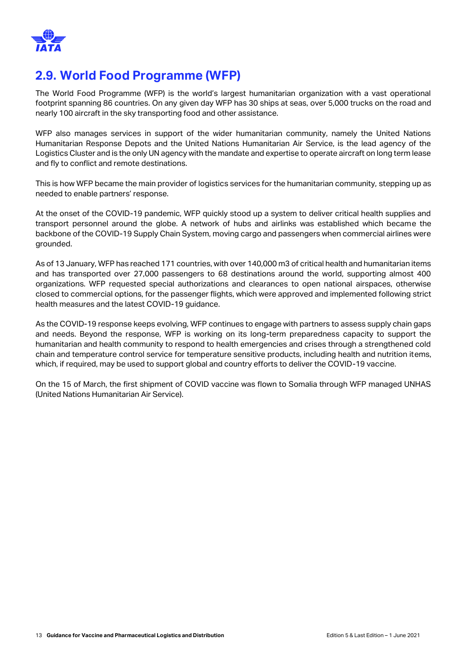

## <span id="page-12-0"></span>**2.9. World Food Programme (WFP)**

The World Food Programme (WFP) is the world's largest humanitarian organization with a vast operational footprint spanning 86 countries. On any given day WFP has 30 ships at seas, over 5,000 trucks on the road and nearly 100 aircraft in the sky transporting food and other assistance.

WFP also manages services in support of the wider humanitarian community, namely the United Nations Humanitarian Response Depots and the United Nations Humanitarian Air Service, is the lead agency of the Logistics Cluster and is the only UN agency with the mandate and expertise to operate aircraft on long term lease and fly to conflict and remote destinations.

This is how WFP became the main provider of logistics services for the humanitarian community, stepping up as needed to enable partners' response.

At the onset of the COVID-19 pandemic, WFP quickly stood up a system to deliver critical health supplies and transport personnel around the globe. A network of hubs and airlinks was established which became the backbone of the COVID-19 Supply Chain System, moving cargo and passengers when commercial airlines were grounded.

As of 13 January, WFP has reached 171 countries, with over 140,000 m3 of critical health and humanitarian items and has transported over 27,000 passengers to 68 destinations around the world, supporting almost 400 organizations. WFP requested special authorizations and clearances to open national airspaces, otherwise closed to commercial options, for the passenger flights, which were approved and implemented following strict health measures and the latest COVID-19 guidance.

As the COVID-19 response keeps evolving, WFP continues to engage with partners to assess supply chain gaps and needs. Beyond the response, WFP is working on its long-term preparedness capacity to support the humanitarian and health community to respond to health emergencies and crises through a strengthened cold chain and temperature control service for temperature sensitive products, including health and nutrition items, which, if required, may be used to support global and country efforts to deliver the COVID-19 vaccine.

On the 15 of March, the first shipment of COVID vaccine was flown to Somalia through WFP managed UNHAS (United Nations Humanitarian Air Service).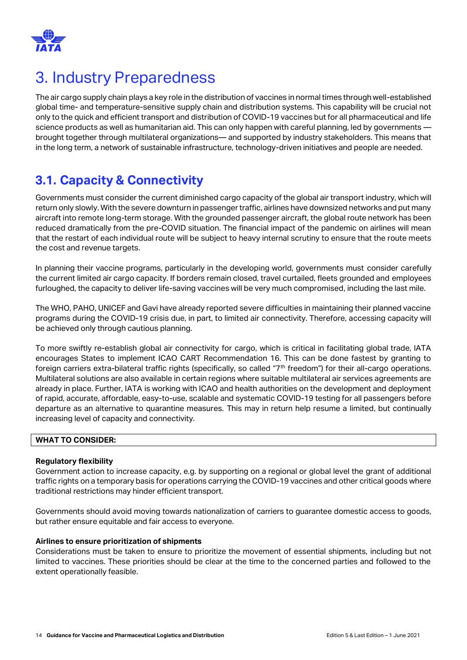

# <span id="page-13-0"></span>3. Industry Preparedness

The air cargo supply chain plays a key role in the distribution of vaccines in normal times through well-established global time- and temperature-sensitive supply chain and distribution systems. This capability will be crucial not only to the quick and efficient transport and distribution of COVID-19 vaccines but for all pharmaceutical and life science products as well as humanitarian aid. This can only happen with careful planning, led by governments brought together through multilateral organizations— and supported by industry stakeholders. This means that in the long term, a network of sustainable infrastructure, technology-driven initiatives and people are needed.

## <span id="page-13-1"></span>**3.1. Capacity & Connectivity**

Governments must consider the current diminished cargo capacity of the global air transport industry, which will return only slowly. With the severe downturn in passenger traffic, airlines have downsized networks and put many aircraft into remote long-term storage. With the grounded passenger aircraft, the global route network has been reduced dramatically from the pre-COVID situation. The financial impact of the pandemic on airlines will mean that the restart of each individual route will be subject to heavy internal scrutiny to ensure that the route meets the cost and revenue targets.

In planning their vaccine programs, particularly in the developing world, governments must consider carefully the current limited air cargo capacity. If borders remain closed, travel curtailed, fleets grounded and employees furloughed, the capacity to deliver life-saving vaccines will be very much compromised, including the last mile.

The WHO, PAHO, UNICEF and Gavi have already reported severe difficulties in maintaining their planned vaccine programs during the COVID-19 crisis due, in part, to limited air connectivity. Therefore, accessing capacity will be achieved only through cautious planning.

To more swiftly re-establish global air connectivity for cargo, which is critical in facilitating global trade, IATA encourages States to implement ICAO CART Recommendation 16. This can be done fastest by granting to foreign carriers extra-bilateral traffic rights (specifically, so called "7<sup>th</sup> freedom") for their all-cargo operations. Multilateral solutions are also available in certain regions where suitable multilateral air services agreements are already in place. Further, IATA is working with ICAO and health authorities on the development and deployment of rapid, accurate, affordable, easy-to-use, scalable and systematic COVID-19 testing for all passengers before departure as an alternative to quarantine measures. This may in return help resume a limited, but continually increasing level of capacity and connectivity.

#### **WHAT TO CONSIDER:**

#### **Regulatory flexibility**

Government action to increase capacity, e.g. by supporting on a regional or global level the grant of additional traffic rights on a temporary basis for operations carrying the COVID-19 vaccines and other critical goods where traditional restrictions may hinder efficient transport.

Governments should avoid moving towards nationalization of carriers to guarantee domestic access to goods, but rather ensure equitable and fair access to everyone.

#### **Airlines to ensure prioritization of shipments**

Considerations must be taken to ensure to prioritize the movement of essential shipments, including but not limited to vaccines. These priorities should be clear at the time to the concerned parties and followed to the extent operationally feasible.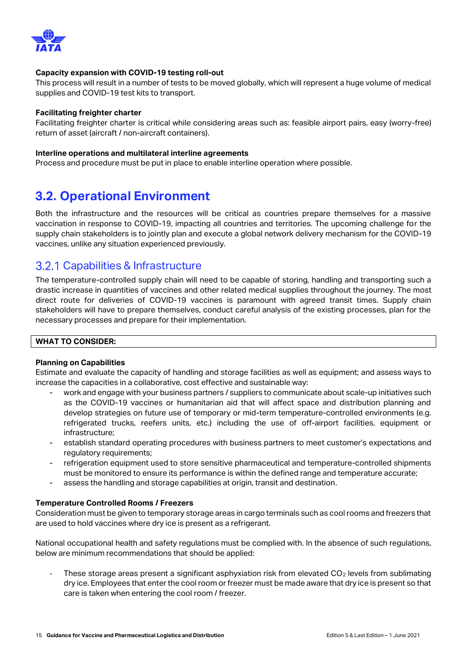

#### **Capacity expansion with COVID-19 testing roll-out**

This process will result in a number of tests to be moved globally, which will represent a huge volume of medical supplies and COVID-19 test kits to transport.

#### **Facilitating freighter charter**

Facilitating freighter charter is critical while considering areas such as: feasible airport pairs, easy (worry-free) return of asset (aircraft / non-aircraft containers).

#### **Interline operations and multilateral interline agreements**

Process and procedure must be put in place to enable interline operation where possible.

### <span id="page-14-0"></span>**3.2. Operational Environment**

Both the infrastructure and the resources will be critical as countries prepare themselves for a massive vaccination in response to COVID-19, impacting all countries and territories. The upcoming challenge for the supply chain stakeholders is to jointly plan and execute a global network delivery mechanism for the COVID-19 vaccines, unlike any situation experienced previously.

### <span id="page-14-1"></span>3.2.1 Capabilities & Infrastructure

The temperature-controlled supply chain will need to be capable of storing, handling and transporting such a drastic increase in quantities of vaccines and other related medical supplies throughout the journey. The most direct route for deliveries of COVID-19 vaccines is paramount with agreed transit times. Supply chain stakeholders will have to prepare themselves, conduct careful analysis of the existing processes, plan for the necessary processes and prepare for their implementation.

#### **WHAT TO CONSIDER:**

#### **Planning on Capabilities**

Estimate and evaluate the capacity of handling and storage facilities as well as equipment; and assess ways to increase the capacities in a collaborative, cost effective and sustainable way:

- work and engage with your business partners / suppliers to communicate about scale-up initiatives such as the COVID-19 vaccines or humanitarian aid that will affect space and distribution planning and develop strategies on future use of temporary or mid-term temperature-controlled environments (e.g. refrigerated trucks, reefers units, etc.) including the use of off-airport facilities, equipment or infrastructure;
- establish standard operating procedures with business partners to meet customer's expectations and regulatory requirements;
- refrigeration equipment used to store sensitive pharmaceutical and temperature-controlled shipments must be monitored to ensure its performance is within the defined range and temperature accurate;
- assess the handling and storage capabilities at origin, transit and destination.

#### **Temperature Controlled Rooms / Freezers**

Consideration must be given to temporary storage areas in cargo terminals such as cool rooms and freezers that are used to hold vaccines where dry ice is present as a refrigerant.

National occupational health and safety regulations must be complied with. In the absence of such regulations, below are minimum recommendations that should be applied:

These storage areas present a significant asphyxiation risk from elevated CO<sub>2</sub> levels from sublimating dry ice. Employees that enter the cool room or freezer must be made aware that dry ice is present so that care is taken when entering the cool room / freezer.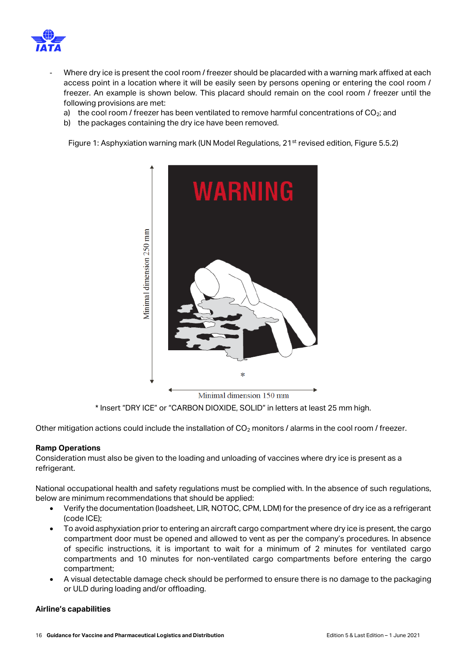

- Where dry ice is present the cool room / freezer should be placarded with a warning mark affixed at each access point in a location where it will be easily seen by persons opening or entering the cool room / freezer. An example is shown below. This placard should remain on the cool room / freezer until the following provisions are met:
	- a) the cool room / freezer has been ventilated to remove harmful concentrations of  $CO<sub>2</sub>$ ; and
	- b) the packages containing the dry ice have been removed.

Figure 1: Asphyxiation warning mark (UN Model Regulations, 21<sup>st</sup> revised edition, Figure 5.5.2)



\* Insert "DRY ICE" or "CARBON DIOXIDE, SOLID" in letters at least 25 mm high.

Other mitigation actions could include the installation of  $CO<sub>2</sub>$  monitors / alarms in the cool room / freezer.

#### **Ramp Operations**

Consideration must also be given to the loading and unloading of vaccines where dry ice is present as a refrigerant.

National occupational health and safety regulations must be complied with. In the absence of such regulations, below are minimum recommendations that should be applied:

- Verify the documentation (loadsheet, LIR, NOTOC, CPM, LDM) for the presence of dry ice as a refrigerant (code ICE);
- To avoid asphyxiation prior to entering an aircraft cargo compartment where dry ice is present, the cargo compartment door must be opened and allowed to vent as per the company's procedures. In absence of specific instructions, it is important to wait for a minimum of 2 minutes for ventilated cargo compartments and 10 minutes for non-ventilated cargo compartments before entering the cargo compartment;
- A visual detectable damage check should be performed to ensure there is no damage to the packaging or ULD during loading and/or offloading.

#### **Airline's capabilities**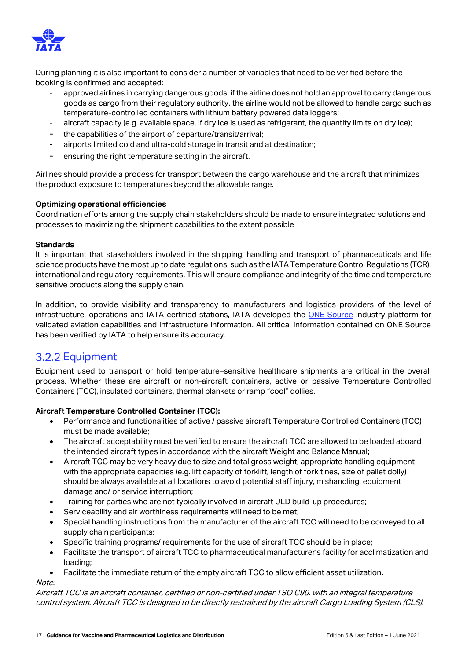

During planning it is also important to consider a number of variables that need to be verified before the booking is confirmed and accepted:

- approved airlines in carrying dangerous goods, if the airline does not hold an approval to carry dangerous goods as cargo from their regulatory authority, the airline would not be allowed to handle cargo such as temperature-controlled containers with lithium battery powered data loggers;
- aircraft capacity (e.g. available space, if dry ice is used as refrigerant, the quantity limits on dry ice);
- the capabilities of the airport of departure/transit/arrival;
- airports limited cold and ultra-cold storage in transit and at destination;
- ensuring the right temperature setting in the aircraft.

Airlines should provide a process for transport between the cargo warehouse and the aircraft that minimizes the product exposure to temperatures beyond the allowable range.

#### **Optimizing operational efficiencies**

Coordination efforts among the supply chain stakeholders should be made to ensure integrated solutions and processes to maximizing the shipment capabilities to the extent possible

#### **Standards**

It is important that stakeholders involved in the shipping, handling and transport of pharmaceuticals and life science products have the most up to date regulations, such as the IATA Temperature Control Regulations (TCR), international and regulatory requirements. This will ensure compliance and integrity of the time and temperature sensitive products along the supply chain.

In addition, to provide visibility and transparency to manufacturers and logistics providers of the level of infrastructure, operations and IATA certified stations, IATA developed the [ONE Source](https://customer-portal-iata.force.com/onesource/s/) industry platform for validated aviation capabilities and infrastructure information. All critical information contained on ONE Source has been verified by IATA to help ensure its accuracy.

### <span id="page-16-0"></span>**3.2.2 Equipment**

Equipment used to transport or hold temperature–sensitive healthcare shipments are critical in the overall process. Whether these are aircraft or non-aircraft containers, active or passive Temperature Controlled Containers (TCC), insulated containers, thermal blankets or ramp "cool" dollies.

#### **Aircraft Temperature Controlled Container (TCC):**

- Performance and functionalities of active / passive aircraft Temperature Controlled Containers (TCC) must be made available;
- The aircraft acceptability must be verified to ensure the aircraft TCC are allowed to be loaded aboard the intended aircraft types in accordance with the aircraft Weight and Balance Manual;
- Aircraft TCC may be very heavy due to size and total gross weight, appropriate handling equipment with the appropriate capacities (e.g. lift capacity of forklift, length of fork tines, size of pallet dolly) should be always available at all locations to avoid potential staff injury, mishandling, equipment damage and/ or service interruption;
- Training for parties who are not typically involved in aircraft ULD build-up procedures;
- Serviceability and air worthiness requirements will need to be met;
- Special handling instructions from the manufacturer of the aircraft TCC will need to be conveyed to all supply chain participants;
- Specific training programs/ requirements for the use of aircraft TCC should be in place;
- Facilitate the transport of aircraft TCC to pharmaceutical manufacturer's facility for acclimatization and loading;
- Facilitate the immediate return of the empty aircraft TCC to allow efficient asset utilization.

Note:

Aircraft TCC is an aircraft container, certified or non-certified under TSO C90, with an integral temperature control system. Aircraft TCC is designed to be directly restrained by the aircraft Cargo Loading System (CLS).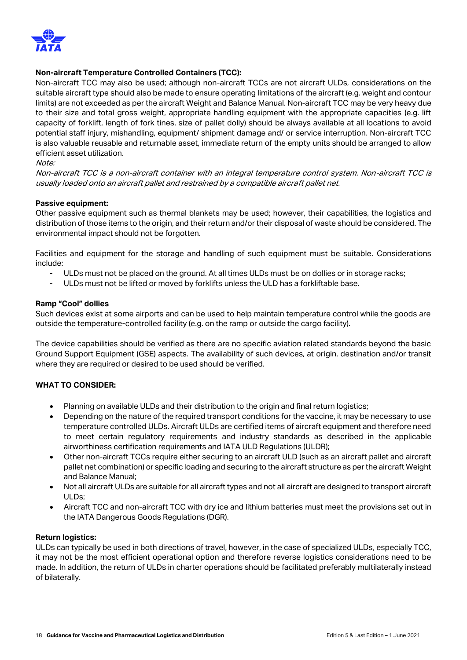

#### **Non-aircraft Temperature Controlled Containers (TCC):**

Non-aircraft TCC may also be used; although non-aircraft TCCs are not aircraft ULDs, considerations on the suitable aircraft type should also be made to ensure operating limitations of the aircraft (e.g. weight and contour limits) are not exceeded as per the aircraft Weight and Balance Manual. Non-aircraft TCC may be very heavy due to their size and total gross weight, appropriate handling equipment with the appropriate capacities (e.g. lift capacity of forklift, length of fork tines, size of pallet dolly) should be always available at all locations to avoid potential staff injury, mishandling, equipment/ shipment damage and/ or service interruption. Non-aircraft TCC is also valuable reusable and returnable asset, immediate return of the empty units should be arranged to allow efficient asset utilization.

#### Note:

Non-aircraft TCC is a non-aircraft container with an integral temperature control system. Non-aircraft TCC is usually loaded onto an aircraft pallet and restrained by a compatible aircraft pallet net.

#### **Passive equipment:**

Other passive equipment such as thermal blankets may be used; however, their capabilities, the logistics and distribution of those items to the origin, and their return and/or their disposal of waste should be considered. The environmental impact should not be forgotten.

Facilities and equipment for the storage and handling of such equipment must be suitable. Considerations include:

- ULDs must not be placed on the ground. At all times ULDs must be on dollies or in storage racks;
- ULDs must not be lifted or moved by forklifts unless the ULD has a forkliftable base.

#### **Ramp "Cool" dollies**

Such devices exist at some airports and can be used to help maintain temperature control while the goods are outside the temperature-controlled facility (e.g. on the ramp or outside the cargo facility).

The device capabilities should be verified as there are no specific aviation related standards beyond the basic Ground Support Equipment (GSE) aspects. The availability of such devices, at origin, destination and/or transit where they are required or desired to be used should be verified.

#### **WHAT TO CONSIDER:**

- Planning on available ULDs and their distribution to the origin and final return logistics;
- Depending on the nature of the required transport conditions for the vaccine, it may be necessary to use temperature controlled ULDs. Aircraft ULDs are certified items of aircraft equipment and therefore need to meet certain regulatory requirements and industry standards as described in the applicable airworthiness certification requirements and IATA ULD Regulations (ULDR);
- Other non-aircraft TCCs require either securing to an aircraft ULD (such as an aircraft pallet and aircraft pallet net combination) or specific loading and securing to the aircraft structure as per the aircraft Weight and Balance Manual;
- Not all aircraft ULDs are suitable for all aircraft types and not all aircraft are designed to transport aircraft ULDs;
- Aircraft TCC and non-aircraft TCC with dry ice and lithium batteries must meet the provisions set out in the IATA Dangerous Goods Regulations (DGR).

#### **Return logistics:**

ULDs can typically be used in both directions of travel, however, in the case of specialized ULDs, especially TCC, it may not be the most efficient operational option and therefore reverse logistics considerations need to be made. In addition, the return of ULDs in charter operations should be facilitated preferably multilaterally instead of bilaterally.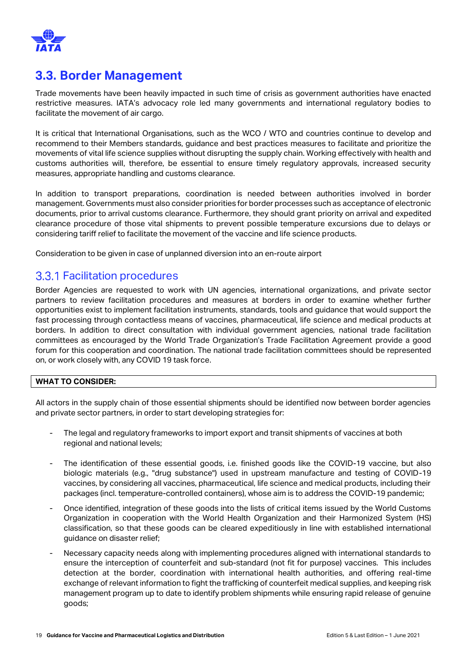

### <span id="page-18-0"></span>**3.3. Border Management**

Trade movements have been heavily impacted in such time of crisis as government authorities have enacted restrictive measures. IATA's advocacy role led many governments and international regulatory bodies to facilitate the movement of air cargo.

It is critical that International Organisations, such as the WCO / WTO and countries continue to develop and recommend to their Members standards, guidance and best practices measures to facilitate and prioritize the movements of vital life science supplies without disrupting the supply chain. Working effectively with health and customs authorities will, therefore, be essential to ensure timely regulatory approvals, increased security measures, appropriate handling and customs clearance.

In addition to transport preparations, coordination is needed between authorities involved in border management. Governments must also consider priorities for border processes such as acceptance of electronic documents, prior to arrival customs clearance. Furthermore, they should grant priority on arrival and expedited clearance procedure of those vital shipments to prevent possible temperature excursions due to delays or considering tariff relief to facilitate the movement of the vaccine and life science products.

Consideration to be given in case of unplanned diversion into an en-route airport

### <span id="page-18-1"></span>**3.3.1 Facilitation procedures**

Border Agencies are requested to work with UN agencies, international organizations, and private sector partners to review facilitation procedures and measures at borders in order to examine whether further opportunities exist to implement facilitation instruments, standards, tools and guidance that would support the fast processing through contactless means of vaccines, pharmaceutical, life science and medical products at borders. In addition to direct consultation with individual government agencies, national trade facilitation committees as encouraged by the World Trade Organization's Trade Facilitation Agreement provide a good forum for this cooperation and coordination. The national trade facilitation committees should be represented on, or work closely with, any COVID 19 task force.

#### **WHAT TO CONSIDER:**

All actors in the supply chain of those essential shipments should be identified now between border agencies and private sector partners, in order to start developing strategies for:

- The legal and regulatory frameworks to import export and transit shipments of vaccines at both regional and national levels;
- The identification of these essential goods, i.e. finished goods like the COVID-19 vaccine, but also biologic materials (e.g., "drug substance") used in upstream manufacture and testing of COVID-19 vaccines, by considering all vaccines, pharmaceutical, life science and medical products, including their packages (incl. temperature-controlled containers), whose aim is to address the COVID-19 pandemic;
- Once identified, integration of these goods into the lists of critical items issued by the World Customs Organization in cooperation with the World Health Organization and their Harmonized System (HS) classification, so that these goods can be cleared expeditiously in line with established international guidance on disaster relief;
- Necessary capacity needs along with implementing procedures aligned with international standards to ensure the interception of counterfeit and sub-standard (not fit for purpose) vaccines. This includes detection at the border, coordination with international health authorities, and offering real-time exchange of relevant information to fight the trafficking of counterfeit medical supplies, and keeping risk management program up to date to identify problem shipments while ensuring rapid release of genuine goods;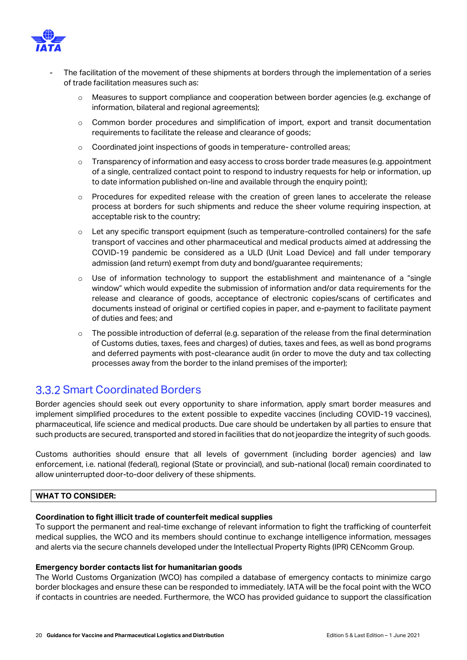

- The facilitation of the movement of these shipments at borders through the implementation of a series of trade facilitation measures such as:
	- o Measures to support compliance and cooperation between border agencies (e.g. exchange of information, bilateral and regional agreements);
	- o Common border procedures and simplification of import, export and transit documentation requirements to facilitate the release and clearance of goods;
	- o Coordinated joint inspections of goods in temperature- controlled areas;
	- o Transparency of information and easy access to cross border trade measures (e.g. appointment of a single, centralized contact point to respond to industry requests for help or information, up to date information published on-line and available through the enquiry point);
	- $\circ$  Procedures for expedited release with the creation of green lanes to accelerate the release process at borders for such shipments and reduce the sheer volume requiring inspection, at acceptable risk to the country;
	- o Let any specific transport equipment (such as temperature-controlled containers) for the safe transport of vaccines and other pharmaceutical and medical products aimed at addressing the COVID-19 pandemic be considered as a ULD (Unit Load Device) and fall under temporary admission (and return) exempt from duty and bond/guarantee requirements;
	- $\circ$  Use of information technology to support the establishment and maintenance of a "single window" which would expedite the submission of information and/or data requirements for the release and clearance of goods, acceptance of electronic copies/scans of certificates and documents instead of original or certified copies in paper, and e-payment to facilitate payment of duties and fees; and
	- The possible introduction of deferral (e.g. separation of the release from the final determination of Customs duties, taxes, fees and charges) of duties, taxes and fees, as well as bond programs and deferred payments with post-clearance audit (in order to move the duty and tax collecting processes away from the border to the inland premises of the importer);

### <span id="page-19-0"></span>**3.3.2 Smart Coordinated Borders**

Border agencies should seek out every opportunity to share information, apply smart border measures and implement simplified procedures to the extent possible to expedite vaccines (including COVID-19 vaccines), pharmaceutical, life science and medical products. Due care should be undertaken by all parties to ensure that such products are secured, transported and stored in facilities that do not jeopardize the integrity of such goods.

Customs authorities should ensure that all levels of government (including border agencies) and law enforcement, i.e. national (federal), regional (State or provincial), and sub-national (local) remain coordinated to allow uninterrupted door-to-door delivery of these shipments.

#### **WHAT TO CONSIDER:**

#### **Coordination to fight illicit trade of counterfeit medical supplies**

To support the permanent and real-time exchange of relevant information to fight the trafficking of counterfeit medical supplies, the WCO and its members should continue to exchange intelligence information, messages and alerts via the secure channels developed under the Intellectual Property Rights (IPR) CENcomm Group.

#### **Emergency border contacts list for humanitarian goods**

The World Customs Organization (WCO) has compiled a database of emergency contacts to minimize cargo border blockages and ensure these can be responded to immediately. IATA will be the focal point with the WCO if contacts in countries are needed. Furthermore, the WCO has provided guidance to support the classification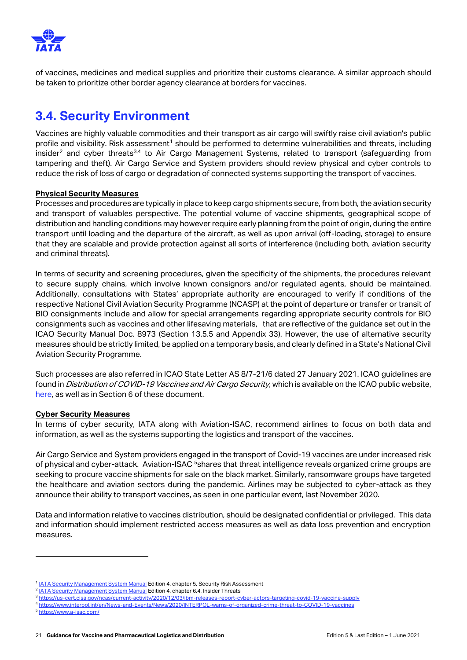

of vaccines, medicines and medical supplies and prioritize their customs clearance. A similar approach should be taken to prioritize other border agency clearance at borders for vaccines.

## <span id="page-20-0"></span>**3.4. Security Environment**

Vaccines are highly valuable commodities and their transport as air cargo will swiftly raise civil aviation's public profile and visibility. Risk assessment<sup>1</sup> should be performed to determine vulnerabilities and threats, including insider<sup>2</sup> and cyber threats<sup>3,4</sup> to Air Cargo Management Systems, related to transport (safeguarding from tampering and theft). Air Cargo Service and System providers should review physical and cyber controls to reduce the risk of loss of cargo or degradation of connected systems supporting the transport of vaccines.

#### **Physical Security Measures**

Processes and procedures are typically in place to keep cargo shipments secure, from both, the aviation security and transport of valuables perspective. The potential volume of vaccine shipments, geographical scope of distribution and handling conditions may however require early planning from the point of origin, during the entire transport until loading and the departure of the aircraft, as well as upon arrival (off-loading, storage) to ensure that they are scalable and provide protection against all sorts of interference (including both, aviation security and criminal threats).

In terms of security and screening procedures, given the specificity of the shipments, the procedures relevant to secure supply chains, which involve known consignors and/or regulated agents, should be maintained. Additionally, consultations with States' appropriate authority are encouraged to verify if conditions of the respective National Civil Aviation Security Programme (NCASP) at the point of departure or transfer or transit of BIO consignments include and allow for special arrangements regarding appropriate security controls for BIO consignments such as vaccines and other lifesaving materials, that are reflective of the guidance set out in the ICAO Security Manual Doc. 8973 (Section 13.5.5 and Appendix 33). However, the use of alternative security measures should be strictly limited, be applied on a temporary basis, and clearly defined in a State's National Civil Aviation Security Programme.

Such processes are also referred in ICAO State Letter AS 8/7-21/6 dated 27 January 2021. ICAO guidelines are found in *Distribution of COVID-19 Vaccines and Air Cargo Security*, which is available on the ICAO public website, [here,](https://www.icao.int/Security/aircargo/Pages/The-Distribution-of-COVID-19-Vaccines-and-Air-Cargo-Security.aspx) as well as in Section 6 of these document.

#### **Cyber Security Measures**

In terms of cyber security, IATA along with Aviation-ISAC, recommend airlines to focus on both data and information, as well as the systems supporting the logistics and transport of the vaccines.

Air Cargo Service and System providers engaged in the transport of Covid-19 vaccines are under increased risk of physical and cyber-attack. Aviation-ISAC <sup>5</sup>shares that threat intelligence reveals organized crime groups are seeking to procure vaccine shipments for sale on the black market. Similarly, ransomware groups have targeted the healthcare and aviation sectors during the pandemic. Airlines may be subjected to cyber-attack as they announce their ability to transport vaccines, as seen in one particular event, last November 2020.

Data and information relative to vaccines distribution, should be designated confidential or privileged. This data and information should implement restricted access measures as well as data loss prevention and encryption measures.

<sup>&</sup>lt;sup>1</sup> [IATA Security Management System Manual](https://www.iata.org/en/publications/store/security-management-system-manual/) Edition 4, chapter 5, Security Risk Assessment

<sup>&</sup>lt;sup>2</sup> [IATA Security Management System Manual](https://www.iata.org/en/publications/store/security-management-system-manual/) Edition 4, chapter 6.4, Insider Threats

<sup>3</sup> https://us-cert.cisa.gov/ncas/current-activity/2020/12/03/ibm-releases-report-cyber-actors-targeting-covid-19-vaccine

<sup>4</sup> <https://www.interpol.int/en/News-and-Events/News/2020/INTERPOL-warns-of-organized-crime-threat-to-COVID-19-vaccines>

<sup>5</sup> <https://www.a-isac.com/>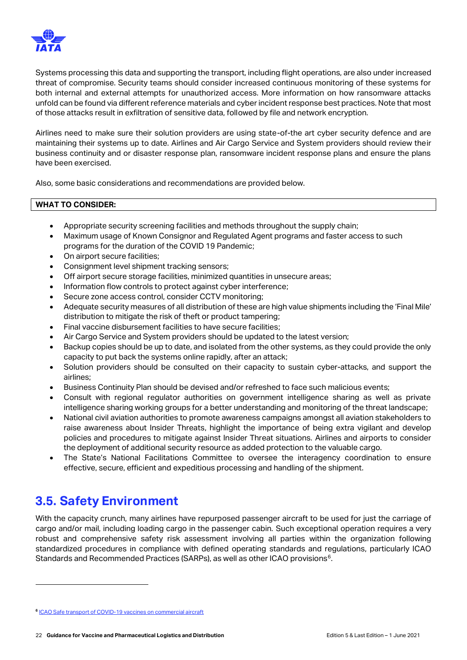

Systems processing this data and supporting the transport, including flight operations, are also under increased threat of compromise. Security teams should consider increased continuous monitoring of these systems for both internal and external attempts for unauthorized access. More information on how ransomware attacks unfold can be found via different reference materials and cyber incident response best practices. Note that most of those attacks result in exfiltration of sensitive data, followed by file and network encryption.

Airlines need to make sure their solution providers are using state-of-the art cyber security defence and are maintaining their systems up to date. Airlines and Air Cargo Service and System providers should review their business continuity and or disaster response plan, ransomware incident response plans and ensure the plans have been exercised.

Also, some basic considerations and recommendations are provided below.

#### **WHAT TO CONSIDER:**

- Appropriate security screening facilities and methods throughout the supply chain;
- Maximum usage of Known Consignor and Regulated Agent programs and faster access to such programs for the duration of the COVID 19 Pandemic;
- On airport secure facilities;
- Consignment level shipment tracking sensors;
- Off airport secure storage facilities, minimized quantities in unsecure areas;
- Information flow controls to protect against cyber interference;
- Secure zone access control, consider CCTV monitoring;
- Adequate security measures of all distribution of these are high value shipments including the 'Final Mile' distribution to mitigate the risk of theft or product tampering;
- Final vaccine disbursement facilities to have secure facilities;
- Air Cargo Service and System providers should be updated to the latest version;
- Backup copies should be up to date, and isolated from the other systems, as they could provide the only capacity to put back the systems online rapidly, after an attack;
- Solution providers should be consulted on their capacity to sustain cyber-attacks, and support the airlines;
- Business Continuity Plan should be devised and/or refreshed to face such malicious events;
- Consult with regional regulator authorities on government intelligence sharing as well as private intelligence sharing working groups for a better understanding and monitoring of the threat landscape;
- National civil aviation authorities to promote awareness campaigns amongst all aviation stakeholders to raise awareness about Insider Threats, highlight the importance of being extra vigilant and develop policies and procedures to mitigate against Insider Threat situations. Airlines and airports to consider the deployment of additional security resource as added protection to the valuable cargo.
- The State's National Facilitations Committee to oversee the interagency coordination to ensure effective, secure, efficient and expeditious processing and handling of the shipment.

### <span id="page-21-0"></span>**3.5. Safety Environment**

With the capacity crunch, many airlines have repurposed passenger aircraft to be used for just the carriage of cargo and/or mail, including loading cargo in the passenger cabin. Such exceptional operation requires a very robust and comprehensive safety risk assessment involving all parties within the organization following standardized procedures in compliance with defined operating standards and regulations, particularly ICAO Standards and Recommended Practices (SARPs), as well as other ICAO provisions<sup>6</sup>.

**<sup>6</sup>** [ICAO Safe transport of COVID-19 vaccines on commercial aircraft](https://www.icao.int/safety/OPS/OPS-Normal/Pages/Vaccines-Transport.aspx)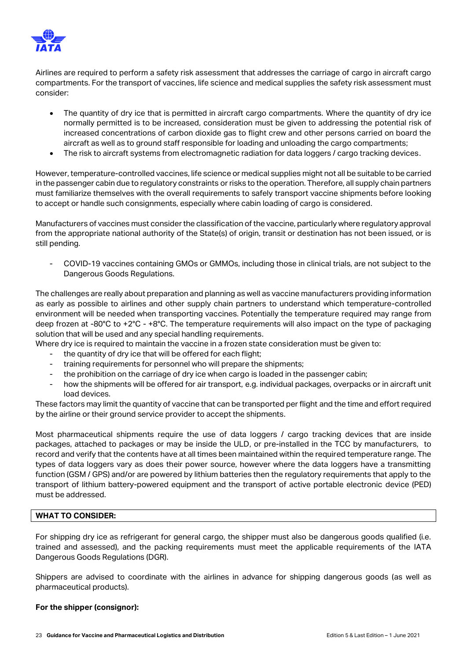

Airlines are required to perform a safety risk assessment that addresses the carriage of cargo in aircraft cargo compartments. For the transport of vaccines, life science and medical supplies the safety risk assessment must consider:

- The quantity of dry ice that is permitted in aircraft cargo compartments. Where the quantity of dry ice normally permitted is to be increased, consideration must be given to addressing the potential risk of increased concentrations of carbon dioxide gas to flight crew and other persons carried on board the aircraft as well as to ground staff responsible for loading and unloading the cargo compartments;
- The risk to aircraft systems from electromagnetic radiation for data loggers / cargo tracking devices.

However, temperature-controlled vaccines, life science or medical supplies might not all be suitable to be carried in the passenger cabin due to regulatory constraints or risks to the operation. Therefore, all supply chain partners must familiarize themselves with the overall requirements to safely transport vaccine shipments before looking to accept or handle such consignments, especially where cabin loading of cargo is considered.

Manufacturers of vaccines must consider the classification of the vaccine, particularly where regulatory approval from the appropriate national authority of the State(s) of origin, transit or destination has not been issued, or is still pending.

- COVID-19 vaccines containing GMOs or GMMOs, including those in clinical trials, are not subject to the Dangerous Goods Regulations.

The challenges are really about preparation and planning as well as vaccine manufacturers providing information as early as possible to airlines and other supply chain partners to understand which temperature-controlled environment will be needed when transporting vaccines. Potentially the temperature required may range from deep frozen at -80°C to +2°C - +8°C. The temperature requirements will also impact on the type of packaging solution that will be used and any special handling requirements.

- Where dry ice is required to maintain the vaccine in a frozen state consideration must be given to:
	- the quantity of dry ice that will be offered for each flight;
	- training requirements for personnel who will prepare the shipments;
	- the prohibition on the carriage of dry ice when cargo is loaded in the passenger cabin;
	- how the shipments will be offered for air transport, e.g. individual packages, overpacks or in aircraft unit load devices.

These factors may limit the quantity of vaccine that can be transported per flight and the time and effort required by the airline or their ground service provider to accept the shipments.

Most pharmaceutical shipments require the use of data loggers / cargo tracking devices that are inside packages, attached to packages or may be inside the ULD, or pre-installed in the TCC by manufacturers, to record and verify that the contents have at all times been maintained within the required temperature range. The types of data loggers vary as does their power source, however where the data loggers have a transmitting function (GSM / GPS) and/or are powered by lithium batteries then the regulatory requirements that apply to the transport of lithium battery-powered equipment and the transport of active portable electronic device (PED) must be addressed.

#### **WHAT TO CONSIDER:**

For shipping dry ice as refrigerant for general cargo, the shipper must also be dangerous goods qualified (i.e. trained and assessed), and the packing requirements must meet the applicable requirements of the IATA Dangerous Goods Regulations (DGR).

Shippers are advised to coordinate with the airlines in advance for shipping dangerous goods (as well as pharmaceutical products).

#### **For the shipper (consignor):**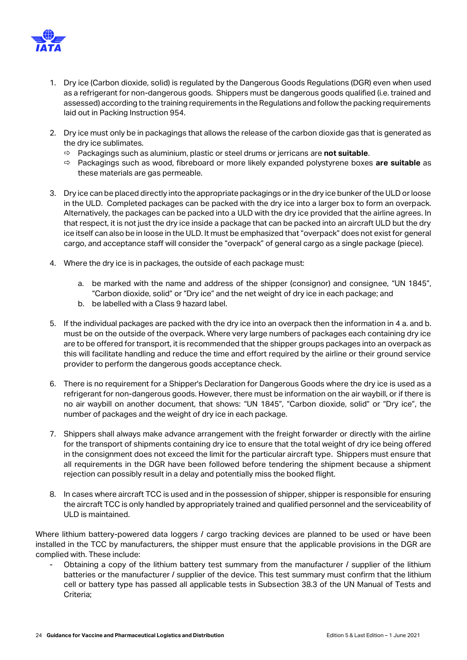

- 1. Dry ice (Carbon dioxide, solid) is regulated by the Dangerous Goods Regulations (DGR) even when used as a refrigerant for non-dangerous goods. Shippers must be dangerous goods qualified (i.e. trained and assessed) according to the training requirements in the Regulations and follow the packing requirements laid out in Packing Instruction 954.
- 2. Dry ice must only be in packagings that allows the release of the carbon dioxide gas that is generated as the dry ice sublimates.
	- Packagings such as aluminium, plastic or steel drums or jerricans are **not suitable**.
	- Packagings such as wood, fibreboard or more likely expanded polystyrene boxes **are suitable** as these materials are gas permeable.
- 3. Dry ice can be placed directly into the appropriate packagings or in the dry ice bunker of the ULD or loose in the ULD. Completed packages can be packed with the dry ice into a larger box to form an overpack. Alternatively, the packages can be packed into a ULD with the dry ice provided that the airline agrees. In that respect, it is not just the dry ice inside a package that can be packed into an aircraft ULD but the dry ice itself can also be in loose in the ULD. It must be emphasized that "overpack" does not exist for general cargo, and acceptance staff will consider the "overpack" of general cargo as a single package (piece).
- 4. Where the dry ice is in packages, the outside of each package must:
	- a. be marked with the name and address of the shipper (consignor) and consignee, "UN 1845", "Carbon dioxide, solid" or "Dry ice" and the net weight of dry ice in each package; and
	- b. be labelled with a Class 9 hazard label.
- 5. If the individual packages are packed with the dry ice into an overpack then the information in 4 a. and b. must be on the outside of the overpack. Where very large numbers of packages each containing dry ice are to be offered for transport, it is recommended that the shipper groups packages into an overpack as this will facilitate handling and reduce the time and effort required by the airline or their ground service provider to perform the dangerous goods acceptance check.
- 6. There is no requirement for a Shipper's Declaration for Dangerous Goods where the dry ice is used as a refrigerant for non-dangerous goods. However, there must be information on the air waybill, or if there is no air waybill on another document, that shows: "UN 1845", "Carbon dioxide, solid" or "Dry ice", the number of packages and the weight of dry ice in each package.
- 7. Shippers shall always make advance arrangement with the freight forwarder or directly with the airline for the transport of shipments containing dry ice to ensure that the total weight of dry ice being offered in the consignment does not exceed the limit for the particular aircraft type. Shippers must ensure that all requirements in the DGR have been followed before tendering the shipment because a shipment rejection can possibly result in a delay and potentially miss the booked flight.
- 8. In cases where aircraft TCC is used and in the possession of shipper, shipper is responsible for ensuring the aircraft TCC is only handled by appropriately trained and qualified personnel and the serviceability of ULD is maintained.

Where lithium battery-powered data loggers / cargo tracking devices are planned to be used or have been installed in the TCC by manufacturers, the shipper must ensure that the applicable provisions in the DGR are complied with. These include:

Obtaining a copy of the lithium battery test summary from the manufacturer / supplier of the lithium batteries or the manufacturer / supplier of the device. This test summary must confirm that the lithium cell or battery type has passed all applicable tests in Subsection 38.3 of the UN Manual of Tests and Criteria;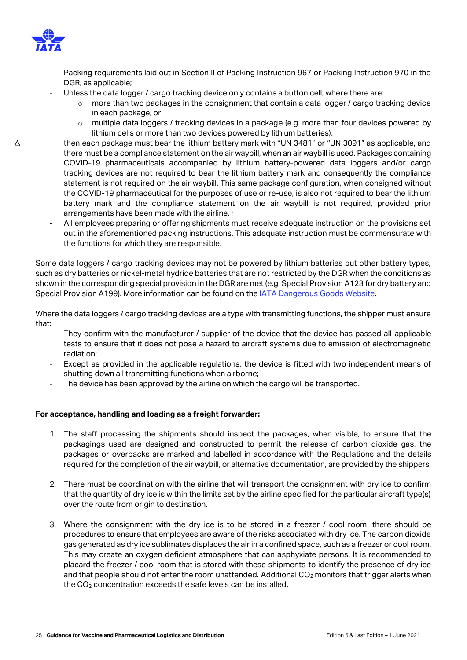

- Packing requirements laid out in Section II of Packing Instruction 967 or Packing Instruction 970 in the DGR, as applicable;
	- Unless the data logger / cargo tracking device only contains a button cell, where there are:
		- $\circ$  more than two packages in the consignment that contain a data logger / cargo tracking device in each package, or
		- o multiple data loggers / tracking devices in a package (e.g. more than four devices powered by lithium cells or more than two devices powered by lithium batteries).
- then each package must bear the lithium battery mark with "UN 3481" or "UN 3091" as applicable, and there must be a compliance statement on the air waybill, when an air waybill is used. Packages containing COVID-19 pharmaceuticals accompanied by lithium battery-powered data loggers and/or cargo tracking devices are not required to bear the lithium battery mark and consequently the compliance statement is not required on the air waybill. This same package configuration, when consigned without the COVID-19 pharmaceutical for the purposes of use or re-use, is also not required to bear the lithium battery mark and the compliance statement on the air waybill is not required, provided prior arrangements have been made with the airline. ;
- All employees preparing or offering shipments must receive adequate instruction on the provisions set out in the aforementioned packing instructions. This adequate instruction must be commensurate with the functions for which they are responsible.

Some data loggers / cargo tracking devices may not be powered by lithium batteries but other battery types, such as dry batteries or nickel-metal hydride batteries that are not restricted by the DGR when the conditions as shown in the corresponding special provision in the DGR are met (e.g. Special Provision A123 for dry battery and Special Provision A199). More information can be found on the [IATA Dangerous Goods Website.](https://www.iata.org/dgr-updates)

Where the data loggers / cargo tracking devices are a type with transmitting functions, the shipper must ensure that:

- They confirm with the manufacturer / supplier of the device that the device has passed all applicable tests to ensure that it does not pose a hazard to aircraft systems due to emission of electromagnetic radiation;
- Except as provided in the applicable regulations, the device is fitted with two independent means of shutting down all transmitting functions when airborne;
- The device has been approved by the airline on which the cargo will be transported.

#### **For acceptance, handling and loading as a freight forwarder:**

- 1. The staff processing the shipments should inspect the packages, when visible, to ensure that the packagings used are designed and constructed to permit the release of carbon dioxide gas, the packages or overpacks are marked and labelled in accordance with the Regulations and the details required for the completion of the air waybill, or alternative documentation, are provided by the shippers.
- 2. There must be coordination with the airline that will transport the consignment with dry ice to confirm that the quantity of dry ice is within the limits set by the airline specified for the particular aircraft type(s) over the route from origin to destination.
- 3. Where the consignment with the dry ice is to be stored in a freezer / cool room, there should be procedures to ensure that employees are aware of the risks associated with dry ice. The carbon dioxide gas generated as dry ice sublimates displaces the air in a confined space, such as a freezer or cool room. This may create an oxygen deficient atmosphere that can asphyxiate persons. It is recommended to placard the freezer / cool room that is stored with these shipments to identify the presence of dry ice and that people should not enter the room unattended. Additional  $CO<sub>2</sub>$  monitors that trigger alerts when the CO<sub>2</sub> concentration exceeds the safe levels can be installed.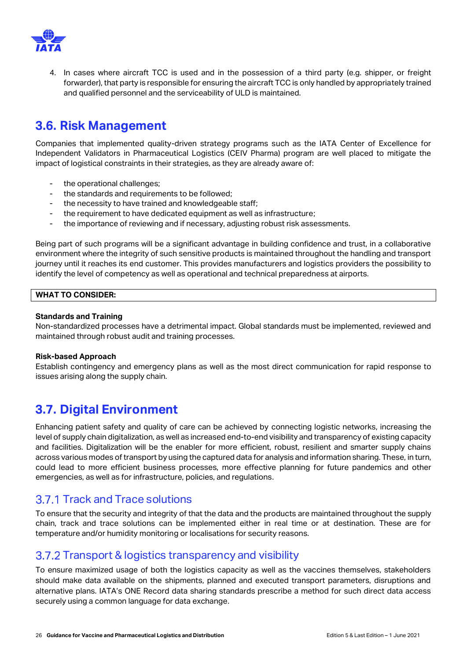

4. In cases where aircraft TCC is used and in the possession of a third party (e.g. shipper, or freight forwarder), that party is responsible for ensuring the aircraft TCC is only handled by appropriately trained and qualified personnel and the serviceability of ULD is maintained.

### <span id="page-25-0"></span>**3.6. Risk Management**

Companies that implemented quality-driven strategy programs such as the IATA Center of Excellence for Independent Validators in Pharmaceutical Logistics (CEIV Pharma) program are well placed to mitigate the impact of logistical constraints in their strategies, as they are already aware of:

- the operational challenges;
- the standards and requirements to be followed;
- the necessity to have trained and knowledgeable staff;
- the requirement to have dedicated equipment as well as infrastructure;
- the importance of reviewing and if necessary, adjusting robust risk assessments.

Being part of such programs will be a significant advantage in building confidence and trust, in a collaborative environment where the integrity of such sensitive products is maintained throughout the handling and transport journey until it reaches its end customer. This provides manufacturers and logistics providers the possibility to identify the level of competency as well as operational and technical preparedness at airports.

#### **WHAT TO CONSIDER:**

#### **Standards and Training**

Non-standardized processes have a detrimental impact. Global standards must be implemented, reviewed and maintained through robust audit and training processes.

#### **Risk-based Approach**

Establish contingency and emergency plans as well as the most direct communication for rapid response to issues arising along the supply chain.

### <span id="page-25-1"></span>**3.7. Digital Environment**

Enhancing patient safety and quality of care can be achieved by connecting logistic networks, increasing the level of supply chain digitalization, as well as increased end-to-end visibility and transparency of existing capacity and facilities. Digitalization will be the enabler for more efficient, robust, resilient and smarter supply chains across various modes of transport by using the captured data for analysis and information sharing. These, in turn, could lead to more efficient business processes, more effective planning for future pandemics and other emergencies, as well as for infrastructure, policies, and regulations.

### <span id="page-25-2"></span>3.7.1 Track and Trace solutions

To ensure that the security and integrity of that the data and the products are maintained throughout the supply chain, track and trace solutions can be implemented either in real time or at destination. These are for temperature and/or humidity monitoring or localisations for security reasons.

### <span id="page-25-3"></span>3.7.2 Transport & logistics transparency and visibility

To ensure maximized usage of both the logistics capacity as well as the vaccines themselves, stakeholders should make data available on the shipments, planned and executed transport parameters, disruptions and alternative plans. IATA's ONE Record data sharing standards prescribe a method for such direct data access securely using a common language for data exchange.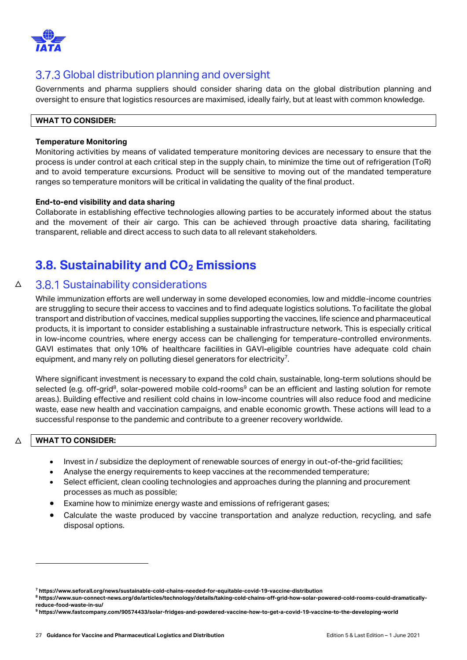

### <span id="page-26-0"></span>3.7.3 Global distribution planning and oversight

Governments and pharma suppliers should consider sharing data on the global distribution planning and oversight to ensure that logistics resources are maximised, ideally fairly, but at least with common knowledge.

#### **WHAT TO CONSIDER:**

#### **Temperature Monitoring**

Monitoring activities by means of validated temperature monitoring devices are necessary to ensure that the process is under control at each critical step in the supply chain, to minimize the time out of refrigeration (ToR) and to avoid temperature excursions. Product will be sensitive to moving out of the mandated temperature ranges so temperature monitors will be critical in validating the quality of the final product.

#### **End-to-end visibility and data sharing**

Collaborate in establishing effective technologies allowing parties to be accurately informed about the status and the movement of their air cargo. This can be achieved through proactive data sharing, facilitating transparent, reliable and direct access to such data to all relevant stakeholders.

## **3.8. Sustainability and CO<sup>2</sup> Emissions**

#### $\triangle$ **3.8.1 Sustainability considerations**

<span id="page-26-1"></span>While immunization efforts are well underway in some developed economies, low and middle-income countries are struggling to secure their access to vaccines and to find adequate logistics solutions. To facilitate the global transport and distribution of vaccines, medical supplies supporting the vaccines, life science and pharmaceutical products, it is important to consider establishing a sustainable infrastructure network. This is especially critical in low-income countries, where energy access can be challenging for temperature-controlled environments. GAVI estimates that only 10% of healthcare facilities in GAVI-eligible countries have adequate cold chain equipment, and many rely on polluting diesel generators for electricity<sup>7</sup>.

Where significant investment is necessary to expand the cold chain, sustainable, long-term solutions should be selected (e.g. off-grid<sup>8</sup>, solar-powered mobile cold-rooms<sup>9</sup> can be an efficient and lasting solution for remote areas.). Building effective and resilient cold chains in low-income countries will also reduce food and medicine waste, ease new health and vaccination campaigns, and enable economic growth. These actions will lead to a successful response to the pandemic and contribute to a greener recovery worldwide.

#### △ **WHAT TO CONSIDER:**

- Invest in / subsidize the deployment of renewable sources of energy in out-of-the-grid facilities;
- Analyse the energy requirements to keep vaccines at the recommended temperature;
- Select efficient, clean cooling technologies and approaches during the planning and procurement processes as much as possible;
- Examine how to minimize energy waste and emissions of refrigerant gases;
- Calculate the waste produced by vaccine transportation and analyze reduction, recycling, and safe disposal options.

**<sup>7</sup> https://www.seforall.org/news/sustainable-cold-chains-needed-for-equitable-covid-19-vaccine-distribution**

**<sup>8</sup> https://www.sun-connect-news.org/de/articles/technology/details/taking-cold-chains-off-grid-how-solar-powered-cold-rooms-could-dramaticallyreduce-food-waste-in-su/**

**<sup>9</sup> https://www.fastcompany.com/90574433/solar-fridges-and-powdered-vaccine-how-to-get-a-covid-19-vaccine-to-the-developing-world**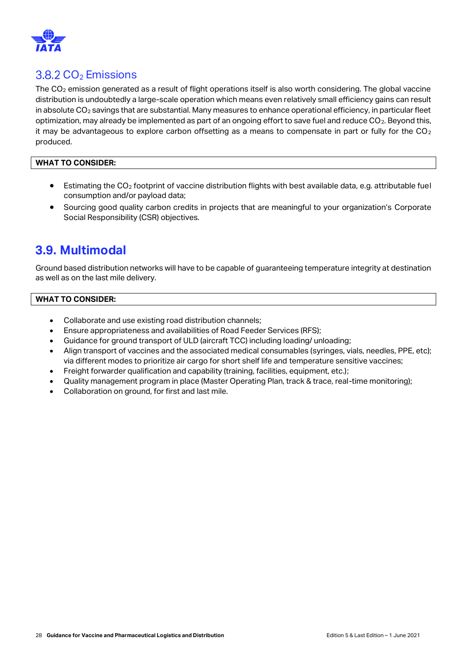

### <span id="page-27-0"></span> $3.8.2 \text{ CO}_2$  Emissions

The CO<sub>2</sub> emission generated as a result of flight operations itself is also worth considering. The global vaccine distribution is undoubtedly a large-scale operation which means even relatively small efficiency gains can result in absolute  $CO<sub>2</sub>$  savings that are substantial. Many measures to enhance operational efficiency, in particular fleet optimization, may already be implemented as part of an ongoing effort to save fuel and reduce  $CO<sub>2</sub>$ . Beyond this, it may be advantageous to explore carbon offsetting as a means to compensate in part or fully for the  $CO<sub>2</sub>$ produced.

#### **WHAT TO CONSIDER:**

- **•** Estimating the CO<sub>2</sub> footprint of vaccine distribution flights with best available data, e.g. attributable fuel consumption and/or payload data;
- Sourcing good quality carbon credits in projects that are meaningful to your organization's Corporate Social Responsibility (CSR) objectives.

### <span id="page-27-1"></span>**3.9. Multimodal**

Ground based distribution networks will have to be capable of guaranteeing temperature integrity at destination as well as on the last mile delivery.

#### **WHAT TO CONSIDER:**

- Collaborate and use existing road distribution channels;
- Ensure appropriateness and availabilities of Road Feeder Services (RFS);
- Guidance for ground transport of ULD (aircraft TCC) including loading/ unloading;
- Align transport of vaccines and the associated medical consumables (syringes, vials, needles, PPE, etc); via different modes to prioritize air cargo for short shelf life and temperature sensitive vaccines;
- Freight forwarder qualification and capability (training, facilities, equipment, etc.);
- Quality management program in place (Master Operating Plan, track & trace, real-time monitoring);
- Collaboration on ground, for first and last mile.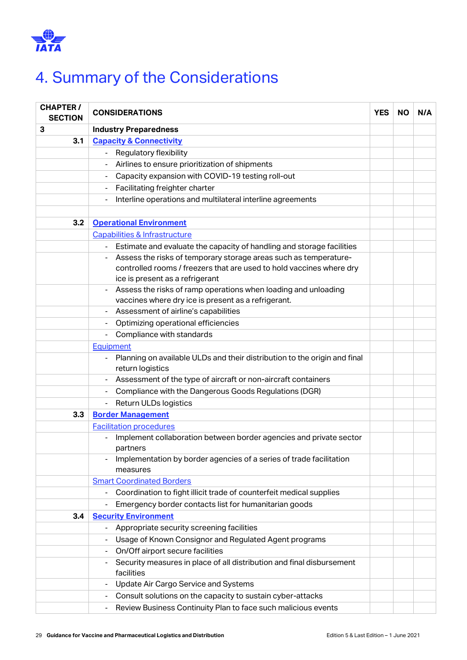

# <span id="page-28-0"></span>4. Summary of the Considerations

| <b>CHAPTER /</b><br><b>SECTION</b> | <b>CONSIDERATIONS</b>                                                                                           |  |  | N/A |
|------------------------------------|-----------------------------------------------------------------------------------------------------------------|--|--|-----|
| 3                                  | <b>Industry Preparedness</b>                                                                                    |  |  |     |
| 3.1                                | <b>Capacity &amp; Connectivity</b>                                                                              |  |  |     |
|                                    | Regulatory flexibility                                                                                          |  |  |     |
|                                    | Airlines to ensure prioritization of shipments                                                                  |  |  |     |
|                                    | Capacity expansion with COVID-19 testing roll-out                                                               |  |  |     |
|                                    | Facilitating freighter charter<br>$\blacksquare$                                                                |  |  |     |
|                                    | Interline operations and multilateral interline agreements                                                      |  |  |     |
|                                    |                                                                                                                 |  |  |     |
| 3.2                                | <b>Operational Environment</b>                                                                                  |  |  |     |
|                                    | Capabilities & Infrastructure                                                                                   |  |  |     |
|                                    | Estimate and evaluate the capacity of handling and storage facilities                                           |  |  |     |
|                                    | Assess the risks of temporary storage areas such as temperature-                                                |  |  |     |
|                                    | controlled rooms / freezers that are used to hold vaccines where dry                                            |  |  |     |
|                                    | ice is present as a refrigerant                                                                                 |  |  |     |
|                                    | Assess the risks of ramp operations when loading and unloading                                                  |  |  |     |
|                                    | vaccines where dry ice is present as a refrigerant.                                                             |  |  |     |
|                                    | Assessment of airline's capabilities                                                                            |  |  |     |
|                                    | Optimizing operational efficiencies                                                                             |  |  |     |
|                                    | Compliance with standards<br>$\blacksquare$                                                                     |  |  |     |
|                                    | Equipment                                                                                                       |  |  |     |
|                                    | Planning on available ULDs and their distribution to the origin and final<br>$\blacksquare$<br>return logistics |  |  |     |
|                                    | Assessment of the type of aircraft or non-aircraft containers                                                   |  |  |     |
|                                    | Compliance with the Dangerous Goods Regulations (DGR)                                                           |  |  |     |
|                                    | Return ULDs logistics                                                                                           |  |  |     |
| 3.3                                | <b>Border Management</b>                                                                                        |  |  |     |
|                                    | <b>Facilitation procedures</b>                                                                                  |  |  |     |
|                                    | Implement collaboration between border agencies and private sector<br>partners                                  |  |  |     |
|                                    | Implementation by border agencies of a series of trade facilitation                                             |  |  |     |
|                                    | measures                                                                                                        |  |  |     |
|                                    | <b>Smart Coordinated Borders</b>                                                                                |  |  |     |
|                                    | Coordination to fight illicit trade of counterfeit medical supplies                                             |  |  |     |
|                                    | Emergency border contacts list for humanitarian goods                                                           |  |  |     |
| 3.4                                | <b>Security Environment</b>                                                                                     |  |  |     |
|                                    | Appropriate security screening facilities                                                                       |  |  |     |
|                                    | Usage of Known Consignor and Regulated Agent programs                                                           |  |  |     |
|                                    | On/Off airport secure facilities                                                                                |  |  |     |
|                                    | Security measures in place of all distribution and final disbursement<br>facilities                             |  |  |     |
|                                    | Update Air Cargo Service and Systems                                                                            |  |  |     |
|                                    | Consult solutions on the capacity to sustain cyber-attacks                                                      |  |  |     |
|                                    | Review Business Continuity Plan to face such malicious events<br>$\overline{\phantom{a}}$                       |  |  |     |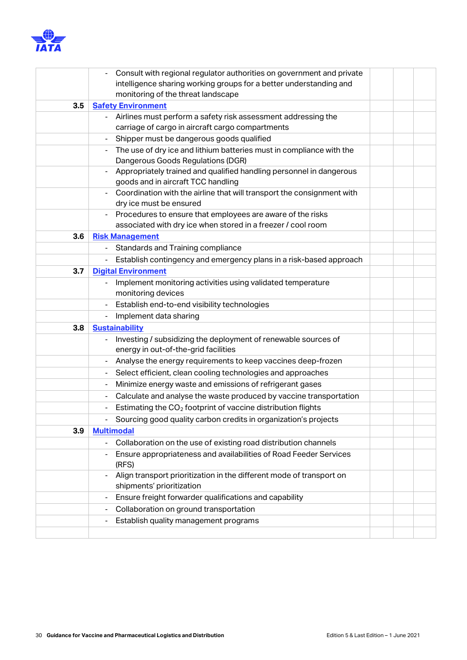

|     | Consult with regional regulator authorities on government and private                                |  |
|-----|------------------------------------------------------------------------------------------------------|--|
|     | intelligence sharing working groups for a better understanding and                                   |  |
|     | monitoring of the threat landscape                                                                   |  |
| 3.5 | <b>Safety Environment</b>                                                                            |  |
|     | Airlines must perform a safety risk assessment addressing the                                        |  |
|     | carriage of cargo in aircraft cargo compartments                                                     |  |
|     | Shipper must be dangerous goods qualified                                                            |  |
|     | The use of dry ice and lithium batteries must in compliance with the                                 |  |
|     | Dangerous Goods Regulations (DGR)                                                                    |  |
|     | Appropriately trained and qualified handling personnel in dangerous                                  |  |
|     | goods and in aircraft TCC handling                                                                   |  |
|     | Coordination with the airline that will transport the consignment with                               |  |
|     | dry ice must be ensured                                                                              |  |
|     | Procedures to ensure that employees are aware of the risks                                           |  |
|     | associated with dry ice when stored in a freezer / cool room                                         |  |
| 3.6 | <b>Risk Management</b>                                                                               |  |
|     | Standards and Training compliance                                                                    |  |
|     | Establish contingency and emergency plans in a risk-based approach                                   |  |
| 3.7 | <b>Digital Environment</b>                                                                           |  |
|     | Implement monitoring activities using validated temperature                                          |  |
|     | monitoring devices                                                                                   |  |
|     | Establish end-to-end visibility technologies                                                         |  |
|     | Implement data sharing                                                                               |  |
| 3.8 | <b>Sustainability</b>                                                                                |  |
|     | Investing / subsidizing the deployment of renewable sources of                                       |  |
|     | energy in out-of-the-grid facilities                                                                 |  |
|     | Analyse the energy requirements to keep vaccines deep-frozen                                         |  |
|     | Select efficient, clean cooling technologies and approaches                                          |  |
|     | Minimize energy waste and emissions of refrigerant gases                                             |  |
|     | Calculate and analyse the waste produced by vaccine transportation                                   |  |
|     | Estimating the CO <sub>2</sub> footprint of vaccine distribution flights<br>$\overline{\phantom{m}}$ |  |
|     | Sourcing good quality carbon credits in organization's projects                                      |  |
| 3.9 | <b>Multimodal</b>                                                                                    |  |
|     | Collaboration on the use of existing road distribution channels                                      |  |
|     | Ensure appropriateness and availabilities of Road Feeder Services                                    |  |
|     | (RFS)                                                                                                |  |
|     | Align transport prioritization in the different mode of transport on                                 |  |
|     | shipments' prioritization                                                                            |  |
|     | Ensure freight forwarder qualifications and capability                                               |  |
|     | Collaboration on ground transportation                                                               |  |
|     | Establish quality management programs                                                                |  |
|     |                                                                                                      |  |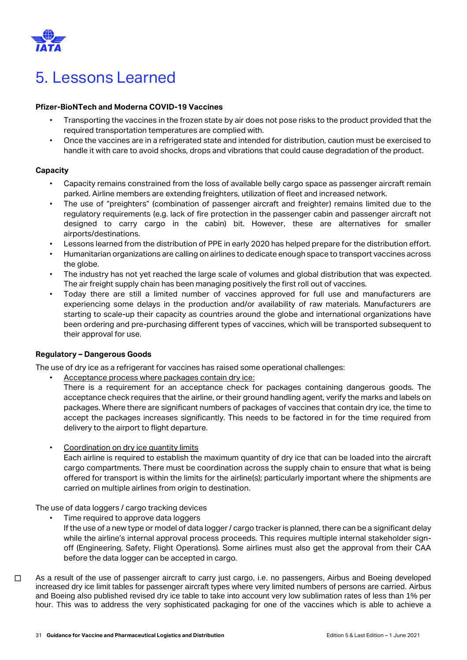

# <span id="page-30-0"></span>5. Lessons Learned

#### **Pfizer-BioNTech and Moderna COVID-19 Vaccines**

- Transporting the vaccines in the frozen state by air does not pose risks to the product provided that the required transportation temperatures are complied with.
- Once the vaccines are in a refrigerated state and intended for distribution, caution must be exercised to handle it with care to avoid shocks, drops and vibrations that could cause degradation of the product.

#### **Capacity**

- Capacity remains constrained from the loss of available belly cargo space as passenger aircraft remain parked. Airline members are extending freighters, utilization of fleet and increased network.
- The use of "preighters" (combination of passenger aircraft and freighter) remains limited due to the regulatory requirements (e.g. lack of fire protection in the passenger cabin and passenger aircraft not designed to carry cargo in the cabin) bit. However, these are alternatives for smaller airports/destinations.
- Lessons learned from the distribution of PPE in early 2020 has helped prepare for the distribution effort.
- Humanitarian organizations are calling on airlines to dedicate enough space to transport vaccines across the globe.
- The industry has not yet reached the large scale of volumes and global distribution that was expected. The air freight supply chain has been managing positively the first roll out of vaccines.
- Today there are still a limited number of vaccines approved for full use and manufacturers are experiencing some delays in the production and/or availability of raw materials. Manufacturers are starting to scale-up their capacity as countries around the globe and international organizations have been ordering and pre-purchasing different types of vaccines, which will be transported subsequent to their approval for use.

#### **Regulatory – Dangerous Goods**

The use of dry ice as a refrigerant for vaccines has raised some operational challenges:

• Acceptance process where packages contain dry ice:

There is a requirement for an acceptance check for packages containing dangerous goods. The acceptance check requires that the airline, or their ground handling agent, verify the marks and labels on packages. Where there are significant numbers of packages of vaccines that contain dry ice, the time to accept the packages increases significantly. This needs to be factored in for the time required from delivery to the airport to flight departure.

• Coordination on dry ice quantity limits

Each airline is required to establish the maximum quantity of dry ice that can be loaded into the aircraft cargo compartments. There must be coordination across the supply chain to ensure that what is being offered for transport is within the limits for the airline(s); particularly important where the shipments are carried on multiple airlines from origin to destination.

The use of data loggers / cargo tracking devices

- Time required to approve data loggers
	- If the use of a new type or model of data logger / cargo tracker is planned, there can be a significant delay while the airline's internal approval process proceeds. This requires multiple internal stakeholder signoff (Engineering, Safety, Flight Operations). Some airlines must also get the approval from their CAA before the data logger can be accepted in cargo.
- □ As a result of the use of passenger aircraft to carry just cargo, i.e. no passengers, Airbus and Boeing developed increased dry ice limit tables for passenger aircraft types where very limited numbers of persons are carried. Airbus and Boeing also published revised dry ice table to take into account very low sublimation rates of less than 1% per hour. This was to address the very sophisticated packaging for one of the vaccines which is able to achieve a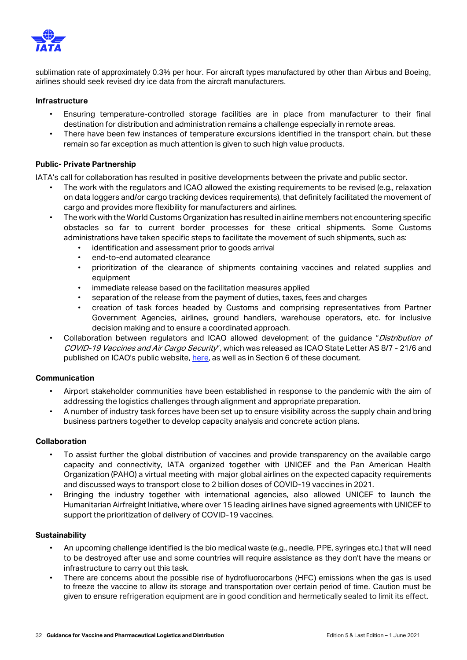

sublimation rate of approximately 0.3% per hour. For aircraft types manufactured by other than Airbus and Boeing, airlines should seek revised dry ice data from the aircraft manufacturers.

#### **Infrastructure**

- Ensuring temperature-controlled storage facilities are in place from manufacturer to their final destination for distribution and administration remains a challenge especially in remote areas.
- There have been few instances of temperature excursions identified in the transport chain, but these remain so far exception as much attention is given to such high value products.

#### **Public- Private Partnership**

IATA's call for collaboration has resulted in positive developments between the private and public sector.

- The work with the regulators and ICAO allowed the existing requirements to be revised (e.g., relaxation on data loggers and/or cargo tracking devices requirements), that definitely facilitated the movement of cargo and provides more flexibility for manufacturers and airlines.
- The work with the World Customs Organization has resulted in airline members not encountering specific obstacles so far to current border processes for these critical shipments. Some Customs administrations have taken specific steps to facilitate the movement of such shipments, such as:
	- identification and assessment prior to goods arrival
	- end-to-end automated clearance
	- prioritization of the clearance of shipments containing vaccines and related supplies and equipment
	- immediate release based on the facilitation measures applied
	- separation of the release from the payment of duties, taxes, fees and charges
	- creation of task forces headed by Customs and comprising representatives from Partner Government Agencies, airlines, ground handlers, warehouse operators, etc. for inclusive decision making and to ensure a coordinated approach.
- Collaboration between regulators and ICAO allowed development of the guidance "Distribution of COVID-19 Vaccines and Air Cargo Security", which was released as ICAO State Letter AS 8/7 - 21/6 and published on ICAO's public website, [here,](https://www.icao.int/Security/aircargo/Pages/The-Distribution-of-COVID-19-Vaccines-and-Air-Cargo-Security.aspx) as well as in Section 6 of these document.

#### **Communication**

- Airport stakeholder communities have been established in response to the pandemic with the aim of addressing the logistics challenges through alignment and appropriate preparation.
- A number of industry task forces have been set up to ensure visibility across the supply chain and bring business partners together to develop capacity analysis and concrete action plans.

#### **Collaboration**

- To assist further the global distribution of vaccines and provide transparency on the available cargo capacity and connectivity, IATA organized together with UNICEF and the Pan American Health Organization (PAHO) a virtual meeting with major global airlines on the expected capacity requirements and discussed ways to transport close to 2 billion doses of COVID-19 vaccines in 2021.
- Bringing the industry together with international agencies, also allowed UNICEF to launch the Humanitarian Airfreight Initiative, where over 15 leading airlines have signed agreements with UNICEF to support the prioritization of delivery of COVID-19 vaccines.

#### **Sustainability**

- An upcoming challenge identified is the bio medical waste (e.g., needle, PPE, syringes etc.) that will need to be destroyed after use and some countries will require assistance as they don't have the means or infrastructure to carry out this task.
- There are concerns about the possible rise of hydrofluorocarbons (HFC) emissions when the gas is used to freeze the vaccine to allow its storage and transportation over certain period of time. Caution must be given to ensure refrigeration equipment are in good condition and hermetically sealed to limit its effect.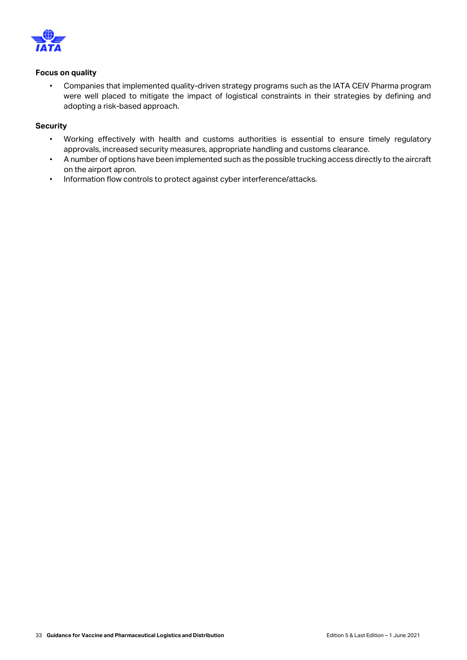

#### **Focus on quality**

• Companies that implemented quality-driven strategy programs such as the IATA CEIV Pharma program were well placed to mitigate the impact of logistical constraints in their strategies by defining and adopting a risk-based approach.

#### **Security**

- Working effectively with health and customs authorities is essential to ensure timely regulatory approvals, increased security measures, appropriate handling and customs clearance.
- A number of options have been implemented such as the possible trucking access directly to the aircraft on the airport apron.
- Information flow controls to protect against cyber interference/attacks.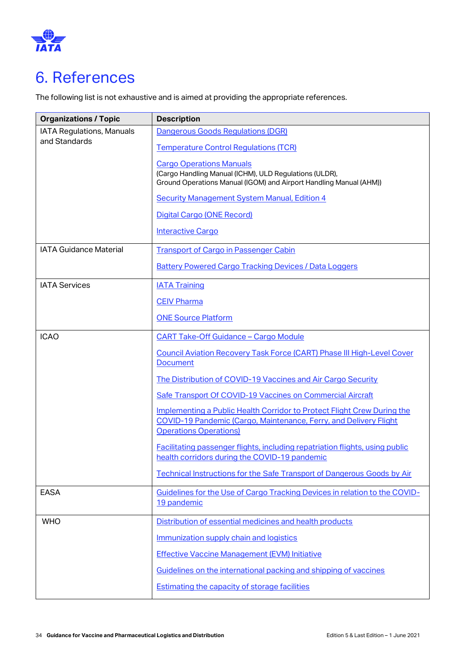

## <span id="page-33-0"></span>6. References

The following list is not exhaustive and is aimed at providing the appropriate references.

| <b>Organizations / Topic</b>  | <b>Description</b>                                                                                                                                                            |
|-------------------------------|-------------------------------------------------------------------------------------------------------------------------------------------------------------------------------|
| IATA Regulations, Manuals     | Dangerous Goods Regulations (DGR)                                                                                                                                             |
| and Standards                 | <b>Temperature Control Regulations (TCR)</b>                                                                                                                                  |
|                               | <b>Cargo Operations Manuals</b><br>(Cargo Handling Manual (ICHM), ULD Regulations (ULDR),<br>Ground Operations Manual (IGOM) and Airport Handling Manual (AHM))               |
|                               | <b>Security Management System Manual, Edition 4</b>                                                                                                                           |
|                               | Digital Cargo (ONE Record)                                                                                                                                                    |
|                               | <b>Interactive Cargo</b>                                                                                                                                                      |
| <b>IATA Guidance Material</b> | <b>Transport of Cargo in Passenger Cabin</b>                                                                                                                                  |
|                               | <b>Battery Powered Cargo Tracking Devices / Data Loggers</b>                                                                                                                  |
| <b>IATA Services</b>          | <b>IATA Training</b>                                                                                                                                                          |
|                               | <b>CEIV Pharma</b>                                                                                                                                                            |
|                               | <b>ONE Source Platform</b>                                                                                                                                                    |
| <b>ICAO</b>                   | <b>CART Take-Off Guidance - Cargo Module</b>                                                                                                                                  |
|                               | <b>Council Aviation Recovery Task Force (CART) Phase III High-Level Cover</b><br><b>Document</b>                                                                              |
|                               | The Distribution of COVID-19 Vaccines and Air Cargo Security                                                                                                                  |
|                               | Safe Transport Of COVID-19 Vaccines on Commercial Aircraft                                                                                                                    |
|                               | Implementing a Public Health Corridor to Protect Flight Crew During the<br>COVID-19 Pandemic (Cargo, Maintenance, Ferry, and Delivery Flight<br><b>Operations Operations)</b> |
|                               | Facilitating passenger flights, including repatriation flights, using public<br>health corridors during the COVID-19 pandemic                                                 |
|                               | Technical Instructions for the Safe Transport of Dangerous Goods by Air                                                                                                       |
| <b>EASA</b>                   | Guidelines for the Use of Cargo Tracking Devices in relation to the COVID-<br>19 pandemic                                                                                     |
| <b>WHO</b>                    | Distribution of essential medicines and health products                                                                                                                       |
|                               | Immunization supply chain and logistics                                                                                                                                       |
|                               | <b>Effective Vaccine Management (EVM) Initiative</b>                                                                                                                          |
|                               | Guidelines on the international packing and shipping of vaccines                                                                                                              |
|                               | <b>Estimating the capacity of storage facilities</b>                                                                                                                          |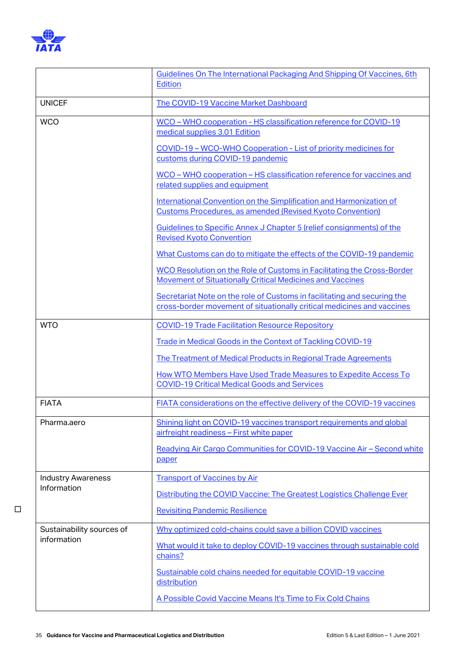

|                           | Guidelines On The International Packaging And Shipping Of Vaccines, 6th<br>Edition                                                                 |
|---------------------------|----------------------------------------------------------------------------------------------------------------------------------------------------|
| <b>UNICEF</b>             | The COVID-19 Vaccine Market Dashboard                                                                                                              |
| <b>WCO</b>                | WCO – WHO cooperation - HS classification reference for COVID-19<br>medical supplies 3.01 Edition                                                  |
|                           | COVID-19 - WCO-WHO Cooperation - List of priority medicines for<br>customs during COVID-19 pandemic                                                |
|                           | WCO - WHO cooperation - HS classification reference for vaccines and<br>related supplies and equipment                                             |
|                           | International Convention on the Simplification and Harmonization of<br><b>Customs Procedures, as amended (Revised Kyoto Convention)</b>            |
|                           | Guidelines to Specific Annex J Chapter 5 (relief consignments) of the<br><b>Revised Kyoto Convention</b>                                           |
|                           | What Customs can do to mitigate the effects of the COVID-19 pandemic                                                                               |
|                           | WCO Resolution on the Role of Customs in Facilitating the Cross-Border<br>Movement of Situationally Critical Medicines and Vaccines                |
|                           | Secretariat Note on the role of Customs in facilitating and securing the<br>cross-border movement of situationally critical medicines and vaccines |
| <b>WTO</b>                | <b>COVID-19 Trade Facilitation Resource Repository</b>                                                                                             |
|                           | Trade in Medical Goods in the Context of Tackling COVID-19                                                                                         |
|                           | The Treatment of Medical Products in Regional Trade Agreements                                                                                     |
|                           | How WTO Members Have Used Trade Measures to Expedite Access To<br><b>COVID-19 Critical Medical Goods and Services</b>                              |
| <b>FIATA</b>              | FIATA considerations on the effective delivery of the COVID-19 vaccines                                                                            |
| Pharma.aero               | Shining light on COVID-19 vaccines transport requirements and global<br>airfreight readiness - First white paper                                   |
|                           | Readying Air Cargo Communities for COVID-19 Vaccine Air - Second white<br>paper                                                                    |
| <b>Industry Awareness</b> | <b>Transport of Vaccines by Air</b>                                                                                                                |
| Information               | Distributing the COVID Vaccine: The Greatest Logistics Challenge Ever                                                                              |
|                           | <b>Revisiting Pandemic Resilience</b>                                                                                                              |
| Sustainability sources of | Why optimized cold-chains could save a billion COVID vaccines                                                                                      |
| information               | What would it take to deploy COVID-19 vaccines through sustainable cold<br>chains?                                                                 |
|                           | Sustainable cold chains needed for equitable COVID-19 vaccine<br>distribution                                                                      |
|                           | A Possible Covid Vaccine Means It's Time to Fix Cold Chains                                                                                        |

□